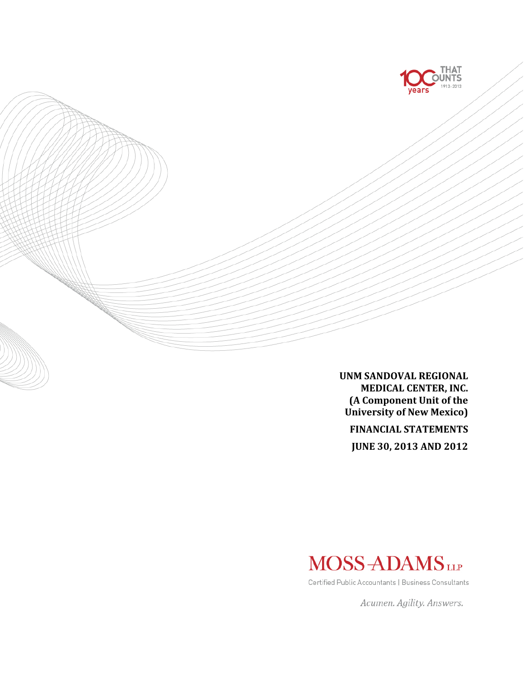

**UNM SANDOVAL REGIONAL MEDICAL CENTER, INC. (A Component Unit of the University of New Mexico)**

**FINANCIAL STATEMENTS**

**JUNE 30, 2013 AND 2012**



Certified Public Accountants | Business Consultants

Acumen. Agility. Answers.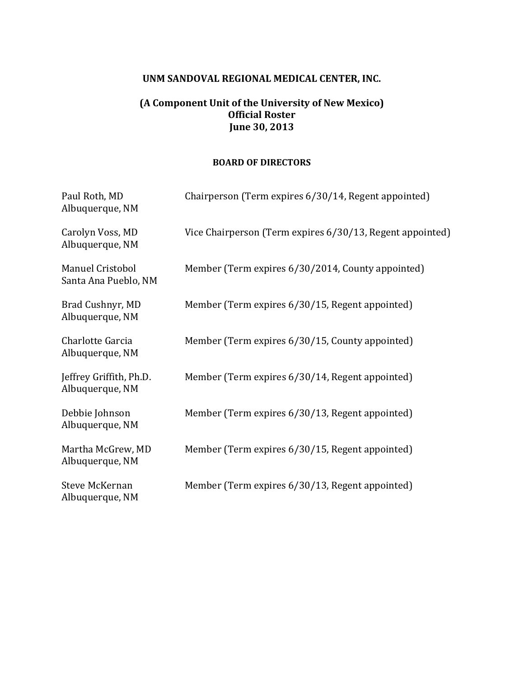# **UNM SANDOVAL REGIONAL MEDICAL CENTER, INC.**

# **(A Component Unit of the University of New Mexico) Official Roster June 30, 2013**

#### **BOARD OF DIRECTORS**

| Paul Roth, MD<br>Albuquerque, NM           | Chairperson (Term expires 6/30/14, Regent appointed)      |
|--------------------------------------------|-----------------------------------------------------------|
| Carolyn Voss, MD<br>Albuquerque, NM        | Vice Chairperson (Term expires 6/30/13, Regent appointed) |
| Manuel Cristobol<br>Santa Ana Pueblo, NM   | Member (Term expires 6/30/2014, County appointed)         |
| Brad Cushnyr, MD<br>Albuquerque, NM        | Member (Term expires 6/30/15, Regent appointed)           |
| Charlotte Garcia<br>Albuquerque, NM        | Member (Term expires 6/30/15, County appointed)           |
| Jeffrey Griffith, Ph.D.<br>Albuquerque, NM | Member (Term expires 6/30/14, Regent appointed)           |
| Debbie Johnson<br>Albuquerque, NM          | Member (Term expires 6/30/13, Regent appointed)           |
| Martha McGrew, MD<br>Albuquerque, NM       | Member (Term expires 6/30/15, Regent appointed)           |
| <b>Steve McKernan</b><br>Albuquerque, NM   | Member (Term expires 6/30/13, Regent appointed)           |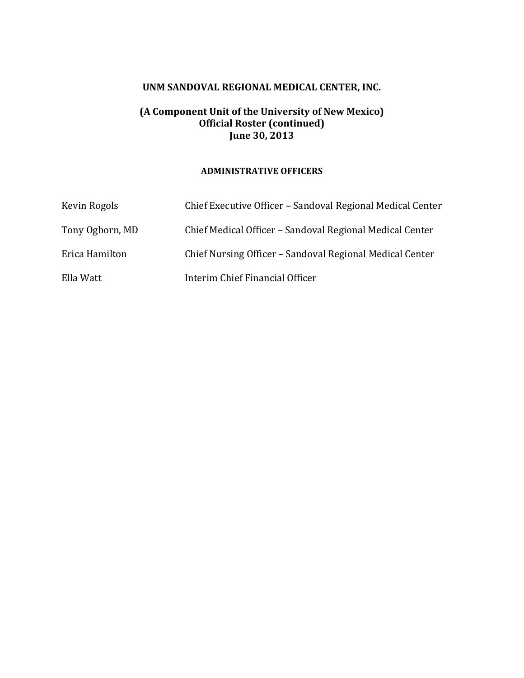# **UNM SANDOVAL REGIONAL MEDICAL CENTER, INC.**

### **(A Component Unit of the University of New Mexico) Official Roster (continued) June 30, 2013**

#### **ADMINISTRATIVE OFFICERS**

| Kevin Rogols    | Chief Executive Officer – Sandoval Regional Medical Center |
|-----------------|------------------------------------------------------------|
| Tony Ogborn, MD | Chief Medical Officer – Sandoval Regional Medical Center   |
| Erica Hamilton  | Chief Nursing Officer – Sandoval Regional Medical Center   |
| Ella Watt       | Interim Chief Financial Officer                            |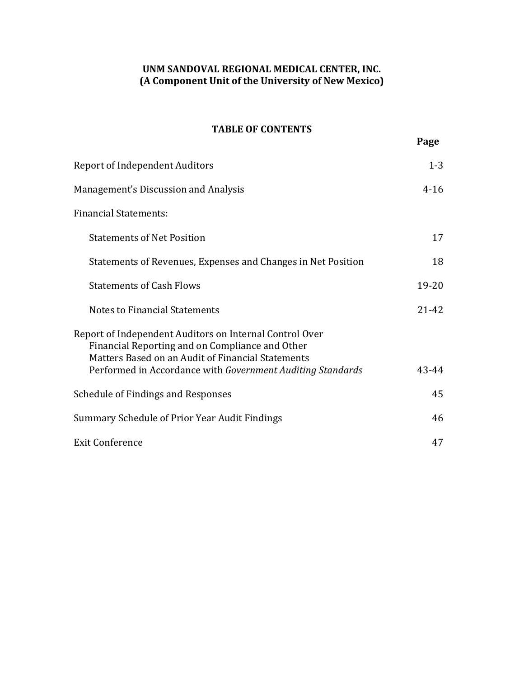# **UNM SANDOVAL REGIONAL MEDICAL CENTER, INC. (A Component Unit of the University of New Mexico)**

# **TABLE OF CONTENTS**

| <b>Report of Independent Auditors</b>                                                                                                                                                                                         | $1 - 3$   |
|-------------------------------------------------------------------------------------------------------------------------------------------------------------------------------------------------------------------------------|-----------|
| Management's Discussion and Analysis                                                                                                                                                                                          | $4 - 16$  |
| <b>Financial Statements:</b>                                                                                                                                                                                                  |           |
| <b>Statements of Net Position</b>                                                                                                                                                                                             | 17        |
| Statements of Revenues, Expenses and Changes in Net Position                                                                                                                                                                  | 18        |
| <b>Statements of Cash Flows</b>                                                                                                                                                                                               | $19 - 20$ |
| <b>Notes to Financial Statements</b>                                                                                                                                                                                          | $21 - 42$ |
| Report of Independent Auditors on Internal Control Over<br>Financial Reporting and on Compliance and Other<br>Matters Based on an Audit of Financial Statements<br>Performed in Accordance with Government Auditing Standards | 43-44     |
| Schedule of Findings and Responses                                                                                                                                                                                            | 45        |
| Summary Schedule of Prior Year Audit Findings                                                                                                                                                                                 | 46        |
| <b>Exit Conference</b>                                                                                                                                                                                                        | 47        |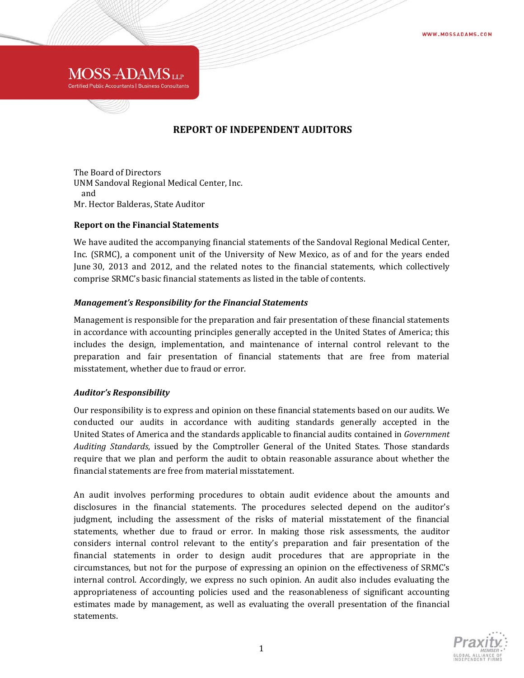

### **REPORT OF INDEPENDENT AUDITORS**

The Board of Directors UNM Sandoval Regional Medical Center, Inc. and Mr. Hector Balderas, State Auditor

#### **Report on the Financial Statements**

We have audited the accompanying financial statements of the Sandoval Regional Medical Center, Inc. (SRMC), a component unit of the University of New Mexico, as of and for the years ended June 30, 2013 and 2012, and the related notes to the financial statements, which collectively comprise SRMC's basic financial statements as listed in the table of contents.

#### *Management's Responsibility for the Financial Statements*

Management is responsible for the preparation and fair presentation of these financial statements in accordance with accounting principles generally accepted in the United States of America; this includes the design, implementation, and maintenance of internal control relevant to the preparation and fair presentation of financial statements that are free from material misstatement, whether due to fraud or error.

#### *Auditor's Responsibility*

Our responsibility is to express and opinion on these financial statements based on our audits. We conducted our audits in accordance with auditing standards generally accepted in the United States of America and the standards applicable to financial audits contained in *Government Auditing Standards*, issued by the Comptroller General of the United States. Those standards require that we plan and perform the audit to obtain reasonable assurance about whether the financial statements are free from material misstatement.

An audit involves performing procedures to obtain audit evidence about the amounts and disclosures in the financial statements. The procedures selected depend on the auditor's judgment, including the assessment of the risks of material misstatement of the financial statements, whether due to fraud or error. In making those risk assessments, the auditor considers internal control relevant to the entity's preparation and fair presentation of the financial statements in order to design audit procedures that are appropriate in the circumstances, but not for the purpose of expressing an opinion on the effectiveness of SRMC's internal control. Accordingly, we express no such opinion. An audit also includes evaluating the appropriateness of accounting policies used and the reasonableness of significant accounting estimates made by management, as well as evaluating the overall presentation of the financial statements. 

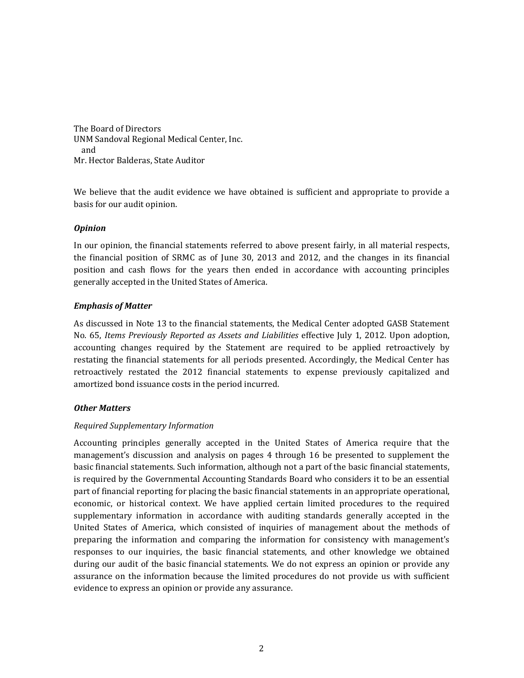The Board of Directors UNM Sandoval Regional Medical Center, Inc. and Mr. Hector Balderas, State Auditor

We believe that the audit evidence we have obtained is sufficient and appropriate to provide a basis for our audit opinion.

#### *Opinion*

In our opinion, the financial statements referred to above present fairly, in all material respects, the financial position of SRMC as of June 30, 2013 and  $2012$ , and the changes in its financial position and cash flows for the years then ended in accordance with accounting principles generally accepted in the United States of America.

#### *Emphasis of Matter*

As discussed in Note 13 to the financial statements, the Medical Center adopted GASB Statement No. 65, *Items Previously Reported as Assets and Liabilities* effective July 1, 2012. Upon adoption, accounting changes required by the Statement are required to be applied retroactively by restating the financial statements for all periods presented. Accordingly, the Medical Center has retroactively restated the 2012 financial statements to expense previously capitalized and amortized bond issuance costs in the period incurred.

#### *Other Matters*

#### *Required Supplementary Information*

Accounting principles generally accepted in the United States of America require that the management's discussion and analysis on pages 4 through 16 be presented to supplement the basic financial statements. Such information, although not a part of the basic financial statements, is required by the Governmental Accounting Standards Board who considers it to be an essential part of financial reporting for placing the basic financial statements in an appropriate operational, economic, or historical context. We have applied certain limited procedures to the required supplementary information in accordance with auditing standards generally accepted in the United States of America, which consisted of inquiries of management about the methods of preparing the information and comparing the information for consistency with management's responses to our inquiries, the basic financial statements, and other knowledge we obtained during our audit of the basic financial statements. We do not express an opinion or provide any assurance on the information because the limited procedures do not provide us with sufficient evidence to express an opinion or provide any assurance.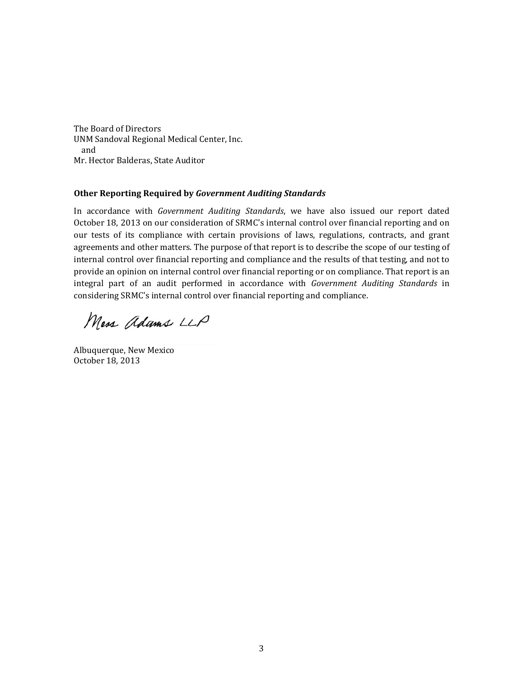The Board of Directors UNM Sandoval Regional Medical Center, Inc. and Mr. Hector Balderas, State Auditor

#### **Other Reporting Required by** *Government Auditing Standards*

In accordance with *Government Auditing Standards*, we have also issued our report dated October 18, 2013 on our consideration of SRMC's internal control over financial reporting and on our tests of its compliance with certain provisions of laws, regulations, contracts, and grant agreements and other matters. The purpose of that report is to describe the scope of our testing of internal control over financial reporting and compliance and the results of that testing, and not to provide an opinion on internal control over financial reporting or on compliance. That report is an integral part of an audit performed in accordance with *Government Auditing Standards* in considering SRMC's internal control over financial reporting and compliance.

Mess adams LLP

Albuquerque, New Mexico October 18, 2013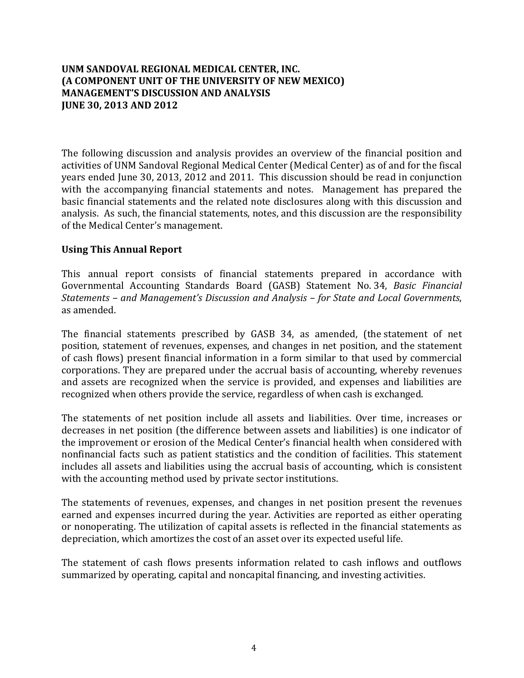The following discussion and analysis provides an overview of the financial position and activities of UNM Sandoval Regional Medical Center (Medical Center) as of and for the fiscal years ended June 30, 2013, 2012 and 2011. This discussion should be read in conjunction with the accompanying financial statements and notes. Management has prepared the basic financial statements and the related note disclosures along with this discussion and analysis. As such, the financial statements, notes, and this discussion are the responsibility of the Medical Center's management.

### **Using This Annual Report**

This annual report consists of financial statements prepared in accordance with Governmental Accounting Standards Board (GASB) Statement No. 34, *Basic Financial Statements – and Management's Discussion and Analysis – for State and Local Governments*, as amended.

The financial statements prescribed by GASB 34, as amended, (the statement of net position, statement of revenues, expenses, and changes in net position, and the statement of cash flows) present financial information in a form similar to that used by commercial corporations. They are prepared under the accrual basis of accounting, whereby revenues and assets are recognized when the service is provided, and expenses and liabilities are recognized when others provide the service, regardless of when cash is exchanged.

The statements of net position include all assets and liabilities. Over time, increases or decreases in net position (the difference between assets and liabilities) is one indicator of the improvement or erosion of the Medical Center's financial health when considered with nonfinancial facts such as patient statistics and the condition of facilities. This statement includes all assets and liabilities using the accrual basis of accounting, which is consistent with the accounting method used by private sector institutions.

The statements of revenues, expenses, and changes in net position present the revenues earned and expenses incurred during the year. Activities are reported as either operating or nonoperating. The utilization of capital assets is reflected in the financial statements as depreciation, which amortizes the cost of an asset over its expected useful life.

The statement of cash flows presents information related to cash inflows and outflows summarized by operating, capital and noncapital financing, and investing activities.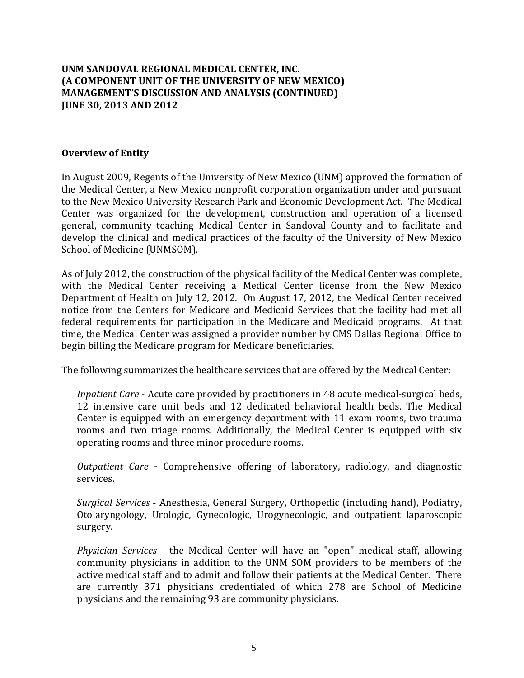### **Overview of Entity**

In August 2009, Regents of the University of New Mexico (UNM) approved the formation of the Medical Center, a New Mexico nonprofit corporation organization under and pursuant to the New Mexico University Research Park and Economic Development Act. The Medical Center was organized for the development, construction and operation of a licensed general, community teaching Medical Center in Sandoval County and to facilitate and develop the clinical and medical practices of the faculty of the University of New Mexico School of Medicine (UNMSOM).

As of July 2012, the construction of the physical facility of the Medical Center was complete, with the Medical Center receiving a Medical Center license from the New Mexico Department of Health on July 12, 2012. On August 17, 2012, the Medical Center received notice from the Centers for Medicare and Medicaid Services that the facility had met all federal requirements for participation in the Medicare and Medicaid programs. At that time, the Medical Center was assigned a provider number by CMS Dallas Regional Office to begin billing the Medicare program for Medicare beneficiaries.

The following summarizes the healthcare services that are offered by the Medical Center:

*Inpatient Care* - Acute care provided by practitioners in 48 acute medical-surgical beds, 12 intensive care unit beds and 12 dedicated behavioral health beds. The Medical Center is equipped with an emergency department with 11 exam rooms, two trauma rooms and two triage rooms. Additionally, the Medical Center is equipped with six operating rooms and three minor procedure rooms.

*Outpatient Care* - Comprehensive offering of laboratory, radiology, and diagnostic services. 

*Surgical Services* - Anesthesia, General Surgery, Orthopedic (including hand), Podiatry, Otolaryngology, Urologic, Gynecologic, Urogynecologic, and outpatient laparoscopic surgery. 

*Physician Services* - the Medical Center will have an "open" medical staff, allowing community physicians in addition to the UNM SOM providers to be members of the active medical staff and to admit and follow their patients at the Medical Center. There are currently 371 physicians credentialed of which 278 are School of Medicine physicians and the remaining 93 are community physicians.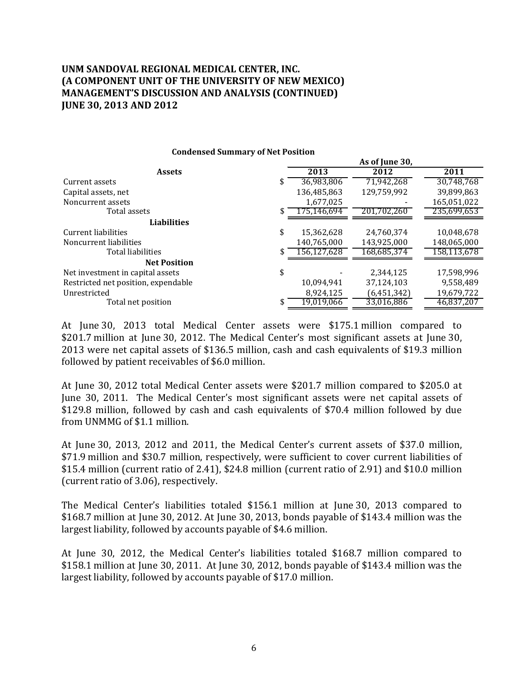|                                     |    | As of June 30, |             |             |
|-------------------------------------|----|----------------|-------------|-------------|
| <b>Assets</b>                       |    | 2013           | 2012        | 2011        |
| Current assets                      | S  | 36,983,806     | 71,942,268  | 30,748,768  |
| Capital assets, net                 |    | 136,485,863    | 129,759,992 | 39,899,863  |
| Noncurrent assets                   |    | 1,677,025      |             | 165,051,022 |
| Total assets                        |    | 175.146.694    | 201.702.260 | 235.699.653 |
| <b>Liabilities</b>                  |    |                |             |             |
| Current liabilities                 | \$ | 15,362,628     | 24,760,374  | 10,048,678  |
| Noncurrent liabilities              |    | 140,765,000    | 143,925,000 | 148,065,000 |
| Total liabilities                   |    | 156.127.628    | 168.685.374 | 158.113.678 |
| <b>Net Position</b>                 |    |                |             |             |
| Net investment in capital assets    | \$ |                | 2,344,125   | 17.598.996  |
| Restricted net position, expendable |    | 10,094,941     | 37,124,103  | 9,558,489   |
| Unrestricted                        |    | 8,924,125      | (6,451,342) | 19,679,722  |
| Total net position                  |    | 19,019,066     | 33,016,886  | 46,837,207  |

**Condensed Summary of Net Position**

At June 30, 2013 total Medical Center assets were \$175.1 million compared to \$201.7 million at June 30, 2012. The Medical Center's most significant assets at June 30, 2013 were net capital assets of \$136.5 million, cash and cash equivalents of \$19.3 million followed by patient receivables of \$6.0 million.

At June 30, 2012 total Medical Center assets were \$201.7 million compared to \$205.0 at June 30, 2011. The Medical Center's most significant assets were net capital assets of \$129.8 million, followed by cash and cash equivalents of \$70.4 million followed by due from UNMMG of \$1.1 million.

At June 30, 2013, 2012 and 2011, the Medical Center's current assets of \$37.0 million, \$71.9 million and \$30.7 million, respectively, were sufficient to cover current liabilities of  $$15.4$  million (current ratio of 2.41),  $$24.8$  million (current ratio of 2.91) and  $$10.0$  million (current ratio of 3.06), respectively.

The Medical Center's liabilities totaled \$156.1 million at June 30, 2013 compared to  $$168.7$  million at June 30, 2012. At June 30, 2013, bonds payable of \$143.4 million was the largest liability, followed by accounts payable of \$4.6 million.

At June 30, 2012, the Medical Center's liabilities totaled \$168.7 million compared to  $$158.1$  million at June 30, 2011. At June 30, 2012, bonds payable of \$143.4 million was the largest liability, followed by accounts payable of \$17.0 million.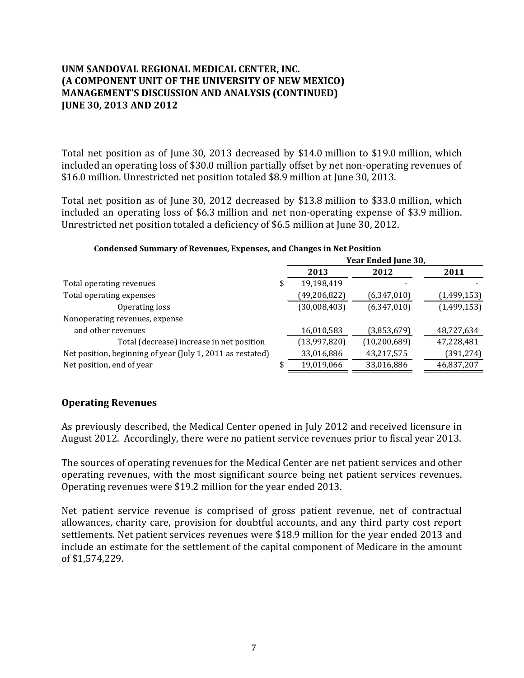Total net position as of June 30, 2013 decreased by \$14.0 million to \$19.0 million, which included an operating loss of \$30.0 million partially offset by net non-operating revenues of \$16.0 million. Unrestricted net position totaled \$8.9 million at June 30, 2013.

Total net position as of June 30, 2012 decreased by \$13.8 million to \$33.0 million, which included an operating loss of  $$6.3$  million and net non-operating expense of  $$3.9$  million. Unrestricted net position totaled a deficiency of \$6.5 million at June 30, 2012.

|                                                            |   | Year Ended June 30, |                |             |
|------------------------------------------------------------|---|---------------------|----------------|-------------|
|                                                            |   | 2013                | 2012           | 2011        |
| Total operating revenues                                   | J | 19,198,419          |                |             |
| Total operating expenses                                   |   | (49, 206, 822)      | (6,347,010)    | (1,499,153) |
| Operating loss                                             |   | (30,008,403)        | (6,347,010)    | (1,499,153) |
| Nonoperating revenues, expense                             |   |                     |                |             |
| and other revenues                                         |   | 16,010,583          | (3,853,679)    | 48,727,634  |
| Total (decrease) increase in net position                  |   | (13,997,820)        | (10, 200, 689) | 47,228,481  |
| Net position, beginning of year (July 1, 2011 as restated) |   | 33,016,886          | 43,217,575     | (391, 274)  |
| Net position, end of year                                  |   | 19,019,066          | 33,016,886     | 46,837,207  |

#### **Condensed Summary of Revenues, Expenses, and Changes in Net Position**

### **Operating Revenues**

As previously described, the Medical Center opened in July 2012 and received licensure in August 2012. Accordingly, there were no patient service revenues prior to fiscal year 2013.

The sources of operating revenues for the Medical Center are net patient services and other operating revenues, with the most significant source being net patient services revenues. Operating revenues were \$19.2 million for the year ended 2013.

Net patient service revenue is comprised of gross patient revenue, net of contractual allowances, charity care, provision for doubtful accounts, and any third party cost report settlements. Net patient services revenues were \$18.9 million for the year ended 2013 and include an estimate for the settlement of the capital component of Medicare in the amount of \$1,574,229.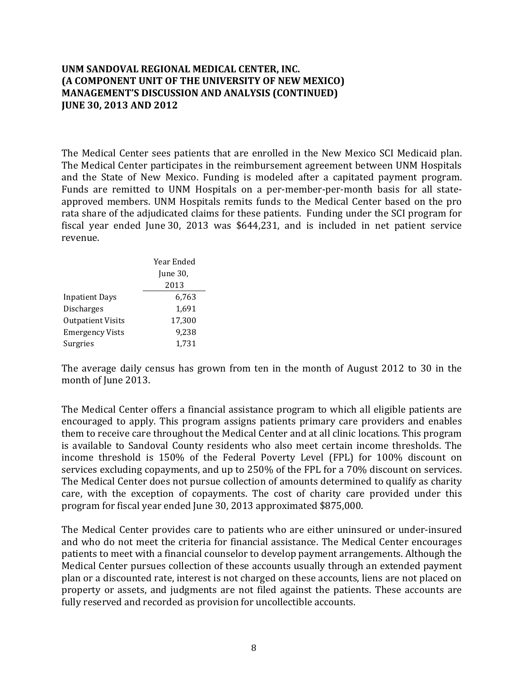The Medical Center sees patients that are enrolled in the New Mexico SCI Medicaid plan. The Medical Center participates in the reimbursement agreement between UNM Hospitals and the State of New Mexico. Funding is modeled after a capitated payment program. Funds are remitted to UNM Hospitals on a per-member-per-month basis for all stateapproved members. UNM Hospitals remits funds to the Medical Center based on the pro rata share of the adjudicated claims for these patients. Funding under the SCI program for fiscal year ended June 30, 2013 was \$644,231, and is included in net patient service revenue. 

|                          | Year Ended |  |  |
|--------------------------|------------|--|--|
|                          | June 30,   |  |  |
|                          | 2013       |  |  |
| <b>Inpatient Days</b>    | 6,763      |  |  |
| <b>Discharges</b>        | 1.691      |  |  |
| <b>Outpatient Visits</b> | 17,300     |  |  |
| <b>Emergency Vists</b>   | 9,238      |  |  |
| Surgries                 | 1,731      |  |  |

The average daily census has grown from ten in the month of August  $2012$  to 30 in the month of June 2013.

The Medical Center offers a financial assistance program to which all eligible patients are encouraged to apply. This program assigns patients primary care providers and enables them to receive care throughout the Medical Center and at all clinic locations. This program is available to Sandoval County residents who also meet certain income thresholds. The income threshold is 150% of the Federal Poverty Level (FPL) for 100% discount on services excluding copayments, and up to 250% of the FPL for a 70% discount on services. The Medical Center does not pursue collection of amounts determined to qualify as charity care, with the exception of copayments. The cost of charity care provided under this program for fiscal year ended June 30, 2013 approximated \$875,000.

The Medical Center provides care to patients who are either uninsured or under-insured and who do not meet the criteria for financial assistance. The Medical Center encourages patients to meet with a financial counselor to develop payment arrangements. Although the Medical Center pursues collection of these accounts usually through an extended payment plan or a discounted rate, interest is not charged on these accounts, liens are not placed on property or assets, and judgments are not filed against the patients. These accounts are fully reserved and recorded as provision for uncollectible accounts.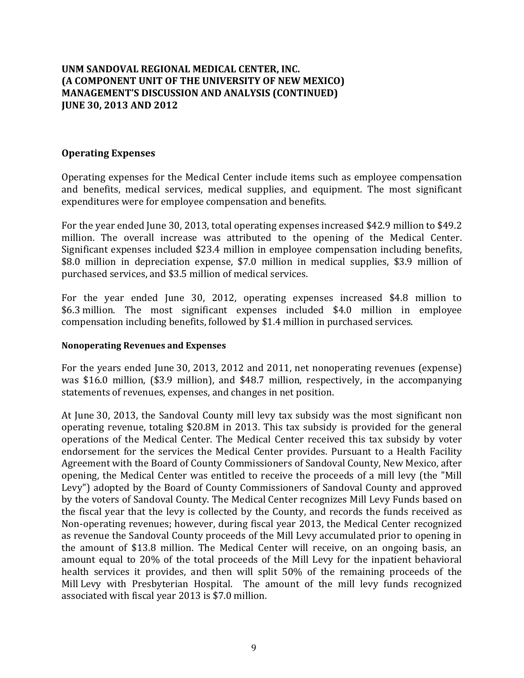### **Operating Expenses**

Operating expenses for the Medical Center include items such as employee compensation and benefits, medical services, medical supplies, and equipment. The most significant expenditures were for employee compensation and benefits.

For the year ended June 30, 2013, total operating expenses increased \$42.9 million to \$49.2 million. The overall increase was attributed to the opening of the Medical Center. Significant expenses included \$23.4 million in employee compensation including benefits, \$8.0 million in depreciation expense, \$7.0 million in medical supplies, \$3.9 million of purchased services, and \$3.5 million of medical services.

For the year ended June 30, 2012, operating expenses increased \$4.8 million to \$6.3 million. The most significant expenses included \$4.0 million in employee compensation including benefits, followed by \$1.4 million in purchased services.

### **Nonoperating Revenues and Expenses**

For the years ended June 30, 2013, 2012 and 2011, net nonoperating revenues (expense) was \$16.0 million, (\$3.9 million), and \$48.7 million, respectively, in the accompanying statements of revenues, expenses, and changes in net position.

At June 30, 2013, the Sandoval County mill levy tax subsidy was the most significant non operating revenue, totaling \$20.8M in 2013. This tax subsidy is provided for the general operations of the Medical Center. The Medical Center received this tax subsidy by voter endorsement for the services the Medical Center provides. Pursuant to a Health Facility Agreement with the Board of County Commissioners of Sandoval County, New Mexico, after opening, the Medical Center was entitled to receive the proceeds of a mill levy (the "Mill Levy") adopted by the Board of County Commissioners of Sandoval County and approved by the voters of Sandoval County. The Medical Center recognizes Mill Levy Funds based on the fiscal year that the levy is collected by the County, and records the funds received as Non-operating revenues; however, during fiscal year 2013, the Medical Center recognized as revenue the Sandoval County proceeds of the Mill Levy accumulated prior to opening in the amount of \$13.8 million. The Medical Center will receive, on an ongoing basis, an amount equal to 20% of the total proceeds of the Mill Levy for the inpatient behavioral health services it provides, and then will split 50% of the remaining proceeds of the Mill Levy with Presbyterian Hospital. The amount of the mill levy funds recognized associated with fiscal year 2013 is \$7.0 million.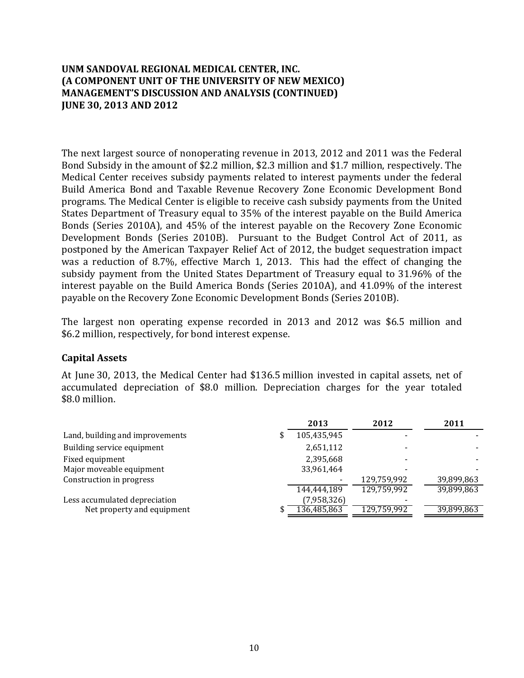The next largest source of nonoperating revenue in 2013, 2012 and 2011 was the Federal Bond Subsidy in the amount of \$2.2 million, \$2.3 million and \$1.7 million, respectively. The Medical Center receives subsidy payments related to interest payments under the federal Build America Bond and Taxable Revenue Recovery Zone Economic Development Bond programs. The Medical Center is eligible to receive cash subsidy payments from the United States Department of Treasury equal to 35% of the interest payable on the Build America Bonds (Series 2010A), and 45% of the interest payable on the Recovery Zone Economic Development Bonds (Series 2010B). Pursuant to the Budget Control Act of 2011, as postponed by the American Taxpayer Relief Act of 2012, the budget sequestration impact was a reduction of 8.7%, effective March 1, 2013. This had the effect of changing the subsidy payment from the United States Department of Treasury equal to 31.96% of the interest payable on the Build America Bonds (Series 2010A), and 41.09% of the interest payable on the Recovery Zone Economic Development Bonds (Series 2010B).

The largest non operating expense recorded in 2013 and 2012 was \$6.5 million and \$6.2 million, respectively, for bond interest expense.

### **Capital Assets**

At June 30, 2013, the Medical Center had \$136.5 million invested in capital assets, net of accumulated depreciation of \$8.0 million. Depreciation charges for the year totaled \$8.0 million.

|                                 | 2013        | 2012        | 2011       |
|---------------------------------|-------------|-------------|------------|
| Land, building and improvements | 105,435,945 |             |            |
| Building service equipment      | 2,651,112   |             |            |
| Fixed equipment                 | 2,395,668   |             |            |
| Major moveable equipment        | 33,961,464  |             |            |
| Construction in progress        |             | 129,759,992 | 39,899,863 |
|                                 | 144,444,189 | 129,759,992 | 39,899,863 |
| Less accumulated depreciation   | (7,958,326) |             |            |
| Net property and equipment      | 136.485.863 | 129,759,992 | 39,899,863 |
|                                 |             |             |            |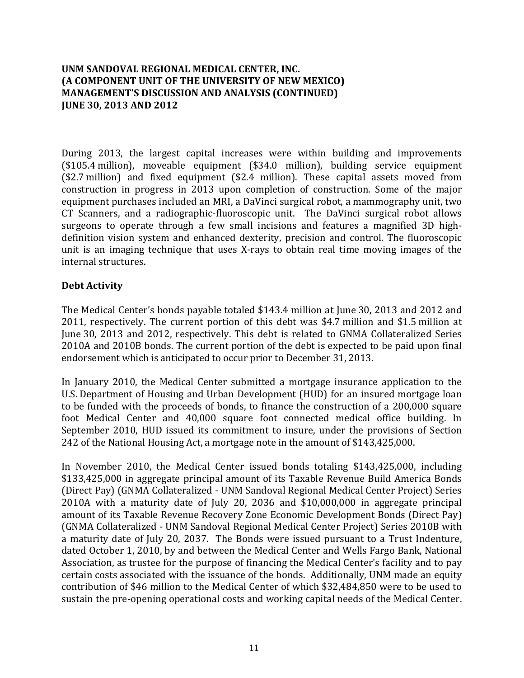During 2013, the largest capital increases were within building and improvements  $($105.4\text{ million})$ , moveable equipment  $($34.0\text{ million})$ , building service equipment  $($2.7 \text{ million})$  and fixed equipment  $($2.4 \text{ million})$ . These capital assets moved from construction in progress in 2013 upon completion of construction. Some of the major equipment purchases included an MRI, a DaVinci surgical robot, a mammography unit, two CT Scanners, and a radiographic-fluoroscopic unit. The DaVinci surgical robot allows surgeons to operate through a few small incisions and features a magnified 3D highdefinition vision system and enhanced dexterity, precision and control. The fluoroscopic unit is an imaging technique that uses X-rays to obtain real time moving images of the internal structures. 

# **Debt Activity**

The Medical Center's bonds payable totaled \$143.4 million at June 30, 2013 and 2012 and 2011, respectively. The current portion of this debt was \$4.7 million and \$1.5 million at June 30, 2013 and 2012, respectively. This debt is related to GNMA Collateralized Series 2010A and 2010B bonds. The current portion of the debt is expected to be paid upon final endorsement which is anticipated to occur prior to December 31, 2013.

In January 2010, the Medical Center submitted a mortgage insurance application to the U.S. Department of Housing and Urban Development (HUD) for an insured mortgage loan to be funded with the proceeds of bonds, to finance the construction of a 200,000 square foot Medical Center and 40,000 square foot connected medical office building. In September 2010, HUD issued its commitment to insure, under the provisions of Section 242 of the National Housing Act, a mortgage note in the amount of \$143,425,000.

In November 2010, the Medical Center issued bonds totaling \$143,425,000, including \$133,425,000 in aggregate principal amount of its Taxable Revenue Build America Bonds (Direct Pay) (GNMA Collateralized - UNM Sandoval Regional Medical Center Project) Series 2010A with a maturity date of July 20, 2036 and \$10,000,000 in aggregate principal amount of its Taxable Revenue Recovery Zone Economic Development Bonds (Direct Pay) (GNMA Collateralized - UNM Sandoval Regional Medical Center Project) Series 2010B with a maturity date of July 20, 2037. The Bonds were issued pursuant to a Trust Indenture, dated October 1, 2010, by and between the Medical Center and Wells Fargo Bank, National Association, as trustee for the purpose of financing the Medical Center's facility and to pay certain costs associated with the issuance of the bonds. Additionally, UNM made an equity contribution of \$46 million to the Medical Center of which \$32,484,850 were to be used to sustain the pre-opening operational costs and working capital needs of the Medical Center.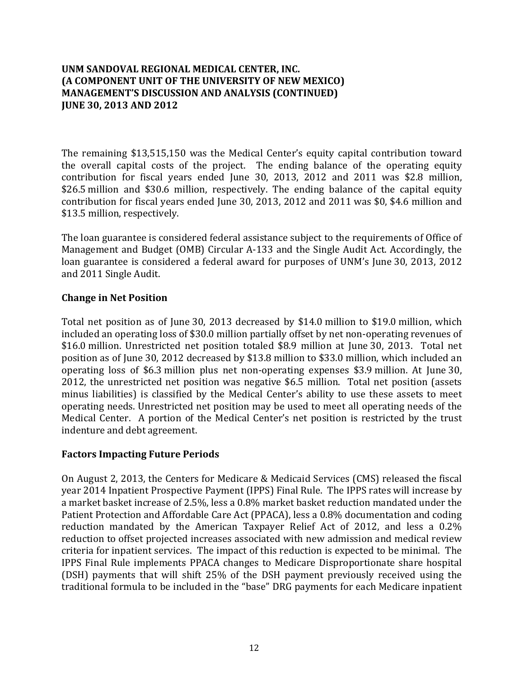The remaining \$13,515,150 was the Medical Center's equity capital contribution toward the overall capital costs of the project. The ending balance of the operating equity contribution for fiscal years ended June 30, 2013, 2012 and  $2011$  was \$2.8 million, \$26.5 million and \$30.6 million, respectively. The ending balance of the capital equity contribution for fiscal years ended June 30, 2013, 2012 and 2011 was \$0, \$4.6 million and \$13.5 million, respectively.

The loan guarantee is considered federal assistance subject to the requirements of Office of Management and Budget (OMB) Circular A-133 and the Single Audit Act. Accordingly, the loan guarantee is considered a federal award for purposes of UNM's June 30, 2013, 2012 and 2011 Single Audit.

# **Change in Net Position**

Total net position as of June 30, 2013 decreased by \$14.0 million to \$19.0 million, which included an operating loss of \$30.0 million partially offset by net non-operating revenues of \$16.0 million. Unrestricted net position totaled \$8.9 million at June 30, 2013. Total net position as of June 30, 2012 decreased by \$13.8 million to \$33.0 million, which included an operating loss of \$6.3 million plus net non-operating expenses \$3.9 million. At June 30, 2012, the unrestricted net position was negative \$6.5 million. Total net position (assets minus liabilities) is classified by the Medical Center's ability to use these assets to meet operating needs. Unrestricted net position may be used to meet all operating needs of the Medical Center. A portion of the Medical Center's net position is restricted by the trust indenture and debt agreement.

# **Factors Impacting Future Periods**

On August 2, 2013, the Centers for Medicare & Medicaid Services (CMS) released the fiscal year 2014 Inpatient Prospective Payment (IPPS) Final Rule. The IPPS rates will increase by a market basket increase of 2.5%, less a 0.8% market basket reduction mandated under the Patient Protection and Affordable Care Act (PPACA), less a 0.8% documentation and coding reduction mandated by the American Taxpayer Relief Act of 2012, and less a 0.2% reduction to offset projected increases associated with new admission and medical review criteria for inpatient services. The impact of this reduction is expected to be minimal. The IPPS Final Rule implements PPACA changes to Medicare Disproportionate share hospital (DSH) payments that will shift 25% of the DSH payment previously received using the traditional formula to be included in the "base" DRG payments for each Medicare inpatient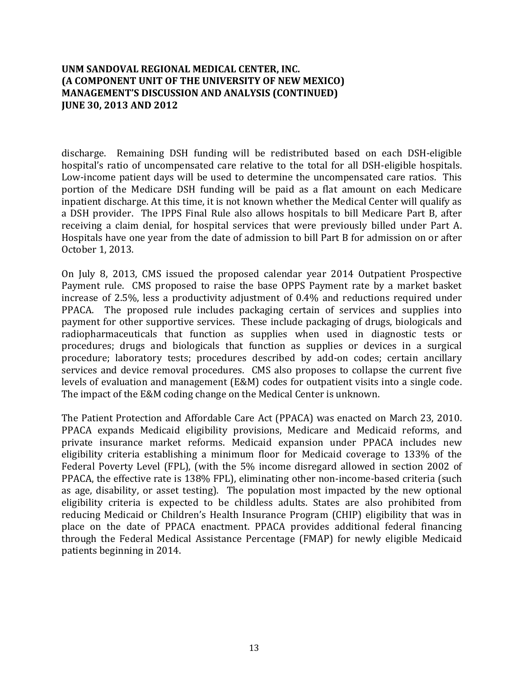discharge. Remaining DSH funding will be redistributed based on each DSH-eligible hospital's ratio of uncompensated care relative to the total for all DSH-eligible hospitals. Low-income patient days will be used to determine the uncompensated care ratios. This portion of the Medicare DSH funding will be paid as a flat amount on each Medicare inpatient discharge. At this time, it is not known whether the Medical Center will qualify as a DSH provider. The IPPS Final Rule also allows hospitals to bill Medicare Part B, after receiving a claim denial, for hospital services that were previously billed under Part A. Hospitals have one year from the date of admission to bill Part B for admission on or after October 1, 2013.

On July 8, 2013, CMS issued the proposed calendar year 2014 Outpatient Prospective Payment rule. CMS proposed to raise the base OPPS Payment rate by a market basket increase of 2.5%, less a productivity adjustment of  $0.4%$  and reductions required under PPACA. The proposed rule includes packaging certain of services and supplies into payment for other supportive services. These include packaging of drugs, biologicals and radiopharmaceuticals that function as supplies when used in diagnostic tests or procedures; drugs and biologicals that function as supplies or devices in a surgical procedure; laboratory tests; procedures described by add-on codes; certain ancillary services and device removal procedures. CMS also proposes to collapse the current five levels of evaluation and management (E&M) codes for outpatient visits into a single code. The impact of the E&M coding change on the Medical Center is unknown.

The Patient Protection and Affordable Care Act (PPACA) was enacted on March 23, 2010. PPACA expands Medicaid eligibility provisions, Medicare and Medicaid reforms, and private insurance market reforms. Medicaid expansion under PPACA includes new eligibility criteria establishing a minimum floor for Medicaid coverage to 133% of the Federal Poverty Level (FPL), (with the 5% income disregard allowed in section 2002 of PPACA, the effective rate is 138% FPL), eliminating other non-income-based criteria (such as age, disability, or asset testing). The population most impacted by the new optional eligibility criteria is expected to be childless adults. States are also prohibited from reducing Medicaid or Children's Health Insurance Program (CHIP) eligibility that was in place on the date of PPACA enactment. PPACA provides additional federal financing through the Federal Medical Assistance Percentage (FMAP) for newly eligible Medicaid patients beginning in 2014.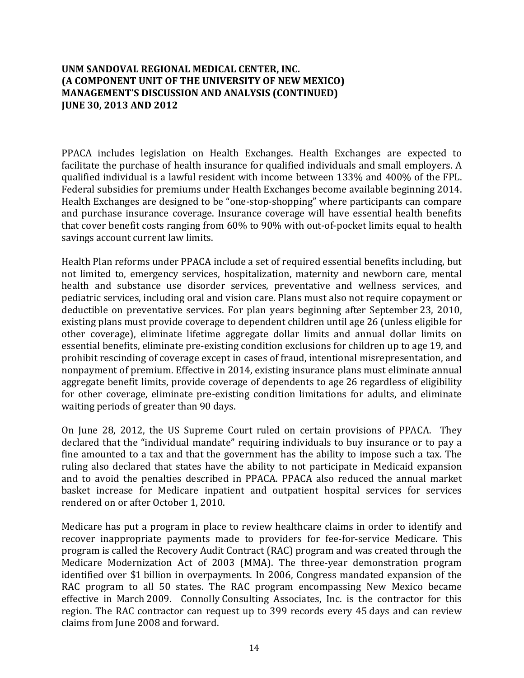PPACA includes legislation on Health Exchanges. Health Exchanges are expected to facilitate the purchase of health insurance for qualified individuals and small emplovers. A qualified individual is a lawful resident with income between 133% and 400% of the FPL. Federal subsidies for premiums under Health Exchanges become available beginning 2014. Health Exchanges are designed to be "one-stop-shopping" where participants can compare and purchase insurance coverage. Insurance coverage will have essential health benefits that cover benefit costs ranging from 60% to 90% with out-of-pocket limits equal to health savings account current law limits.

Health Plan reforms under PPACA include a set of required essential benefits including, but not limited to, emergency services, hospitalization, maternity and newborn care, mental health and substance use disorder services, preventative and wellness services, and pediatric services, including oral and vision care. Plans must also not require copayment or deductible on preventative services. For plan years beginning after September 23, 2010, existing plans must provide coverage to dependent children until age 26 (unless eligible for other coverage), eliminate lifetime aggregate dollar limits and annual dollar limits on essential benefits, eliminate pre-existing condition exclusions for children up to age 19, and prohibit rescinding of coverage except in cases of fraud, intentional misrepresentation, and nonpayment of premium. Effective in 2014, existing insurance plans must eliminate annual aggregate benefit limits, provide coverage of dependents to age 26 regardless of eligibility for other coverage, eliminate pre-existing condition limitations for adults, and eliminate waiting periods of greater than 90 days.

On June 28, 2012, the US Supreme Court ruled on certain provisions of PPACA. They declared that the "individual mandate" requiring individuals to buy insurance or to pay a fine amounted to a tax and that the government has the ability to impose such a tax. The ruling also declared that states have the ability to not participate in Medicaid expansion and to avoid the penalties described in PPACA. PPACA also reduced the annual market basket increase for Medicare inpatient and outpatient hospital services for services rendered on or after October 1, 2010.

Medicare has put a program in place to review healthcare claims in order to identify and recover inappropriate payments made to providers for fee-for-service Medicare. This program is called the Recovery Audit Contract (RAC) program and was created through the Medicare Modernization Act of 2003 (MMA). The three-year demonstration program identified over \$1 billion in overpayments. In 2006, Congress mandated expansion of the RAC program to all 50 states. The RAC program encompassing New Mexico became effective in March 2009. Connolly Consulting Associates, Inc. is the contractor for this region. The RAC contractor can request up to 399 records every 45 days and can review claims from June 2008 and forward.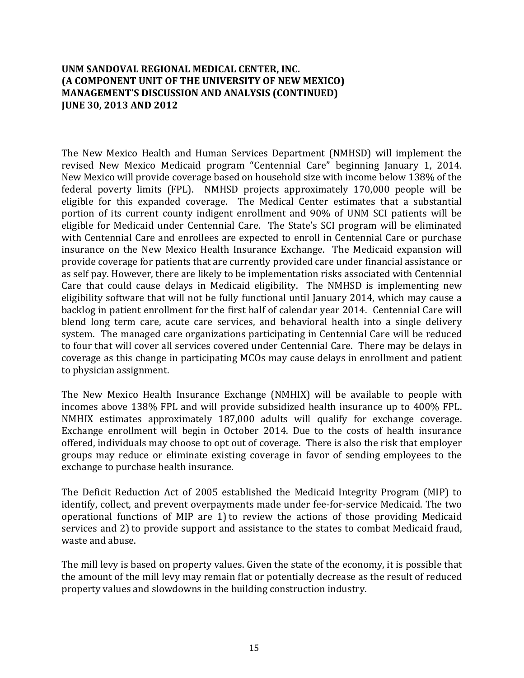The New Mexico Health and Human Services Department (NMHSD) will implement the revised New Mexico Medicaid program "Centennial Care" beginning January 1, 2014. New Mexico will provide coverage based on household size with income below 138% of the federal poverty limits (FPL). NMHSD projects approximately 170,000 people will be eligible for this expanded coverage. The Medical Center estimates that a substantial portion of its current county indigent enrollment and 90% of UNM SCI patients will be eligible for Medicaid under Centennial Care. The State's SCI program will be eliminated with Centennial Care and enrollees are expected to enroll in Centennial Care or purchase insurance on the New Mexico Health Insurance Exchange. The Medicaid expansion will provide coverage for patients that are currently provided care under financial assistance or as self pay. However, there are likely to be implementation risks associated with Centennial Care that could cause delays in Medicaid eligibility. The NMHSD is implementing new eligibility software that will not be fully functional until January 2014, which may cause a backlog in patient enrollment for the first half of calendar year 2014. Centennial Care will blend long term care, acute care services, and behavioral health into a single delivery system. The managed care organizations participating in Centennial Care will be reduced to four that will cover all services covered under Centennial Care. There may be delays in coverage as this change in participating MCOs may cause delays in enrollment and patient to physician assignment.

The New Mexico Health Insurance Exchange (NMHIX) will be available to people with incomes above 138% FPL and will provide subsidized health insurance up to 400% FPL. NMHIX estimates approximately 187,000 adults will qualify for exchange coverage. Exchange enrollment will begin in October 2014. Due to the costs of health insurance offered, individuals may choose to opt out of coverage. There is also the risk that employer groups may reduce or eliminate existing coverage in favor of sending employees to the exchange to purchase health insurance.

The Deficit Reduction Act of 2005 established the Medicaid Integrity Program (MIP) to identify, collect, and prevent overpayments made under fee-for-service Medicaid. The two operational functions of MIP are 1) to review the actions of those providing Medicaid services and 2) to provide support and assistance to the states to combat Medicaid fraud, waste and abuse.

The mill levy is based on property values. Given the state of the economy, it is possible that the amount of the mill levy may remain flat or potentially decrease as the result of reduced property values and slowdowns in the building construction industry.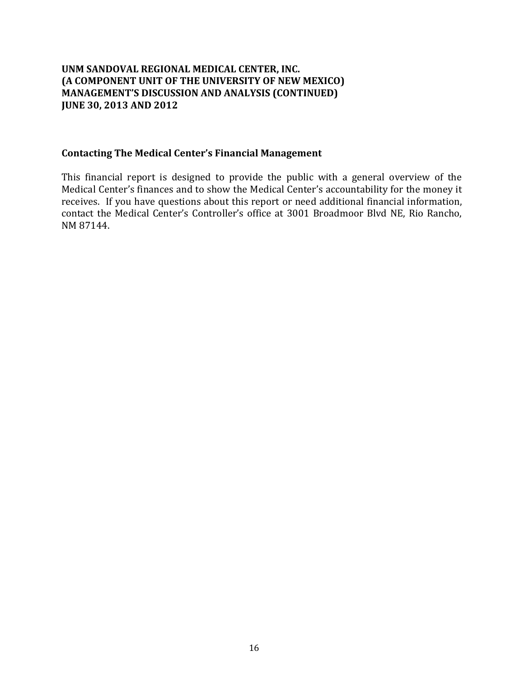#### **Contacting The Medical Center's Financial Management**

This financial report is designed to provide the public with a general overview of the Medical Center's finances and to show the Medical Center's accountability for the money it receives. If you have questions about this report or need additional financial information, contact the Medical Center's Controller's office at 3001 Broadmoor Blvd NE, Rio Rancho, NM 87144.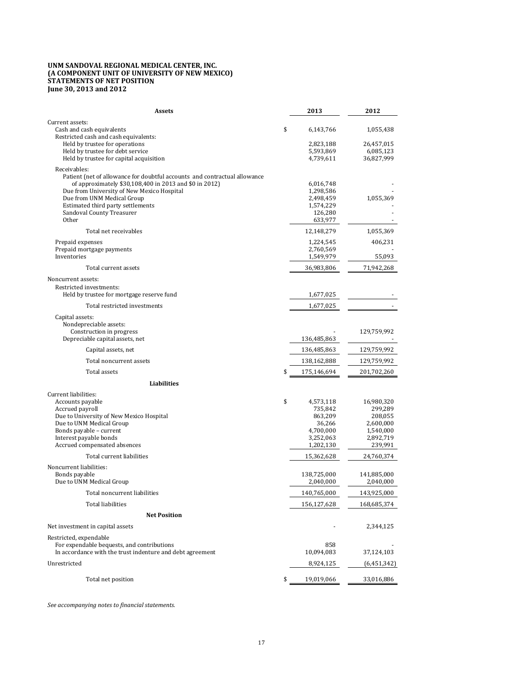#### **UNM SANDOVAL REGIONAL MEDICAL CENTER, INC. (A COMPONENT UNIT OF UNIVERSITY OF NEW MEXICO) STATEMENTS OF NET POSITION June 30, 2013 and 2012**

| <b>Assets</b>                                                                                                                                                                                                                                                                                              | 2013                                                                                   | 2012                                                                               |
|------------------------------------------------------------------------------------------------------------------------------------------------------------------------------------------------------------------------------------------------------------------------------------------------------------|----------------------------------------------------------------------------------------|------------------------------------------------------------------------------------|
| Current assets:<br>Cash and cash equivalents<br>Restricted cash and cash equivalents:<br>Held by trustee for operations<br>Held by trustee for debt service<br>Held by trustee for capital acquisition                                                                                                     | \$<br>6,143,766<br>2,823,188<br>5,593,869<br>4,739,611                                 | 1,055,438<br>26,457,015<br>6,085,123<br>36,827,999                                 |
| Receivables:<br>Patient (net of allowance for doubtful accounts and contractual allowance<br>of approximately \$30,108,400 in 2013 and \$0 in 2012)<br>Due from University of New Mexico Hospital<br>Due from UNM Medical Group<br>Estimated third party settlements<br>Sandoval County Treasurer<br>Other | 6,016,748<br>1,298,586<br>2,498,459<br>1,574,229<br>126,280<br>633,977                 | 1,055,369                                                                          |
| Total net receivables                                                                                                                                                                                                                                                                                      | 12,148,279                                                                             | 1,055,369                                                                          |
| Prepaid expenses<br>Prepaid mortgage payments<br>Inventories                                                                                                                                                                                                                                               | 1,224,545<br>2,760,569<br>1,549,979                                                    | 406,231<br>55,093                                                                  |
| Total current assets                                                                                                                                                                                                                                                                                       | 36,983,806                                                                             | 71,942,268                                                                         |
| Noncurrent assets:                                                                                                                                                                                                                                                                                         |                                                                                        |                                                                                    |
| Restricted investments:<br>Held by trustee for mortgage reserve fund                                                                                                                                                                                                                                       | 1,677,025                                                                              |                                                                                    |
| Total restricted investments                                                                                                                                                                                                                                                                               | 1,677,025                                                                              |                                                                                    |
| Capital assets:<br>Nondepreciable assets:<br>Construction in progress<br>Depreciable capital assets, net                                                                                                                                                                                                   | 136,485,863                                                                            | 129,759,992                                                                        |
| Capital assets, net                                                                                                                                                                                                                                                                                        | 136,485,863                                                                            | 129,759,992                                                                        |
| Total noncurrent assets                                                                                                                                                                                                                                                                                    | 138,162,888                                                                            | 129,759,992                                                                        |
| Total assets                                                                                                                                                                                                                                                                                               | \$<br>175,146,694                                                                      | 201,702,260                                                                        |
| Liabilities                                                                                                                                                                                                                                                                                                |                                                                                        |                                                                                    |
| Current liabilities:<br>Accounts payable<br>Accrued payroll<br>Due to University of New Mexico Hospital<br>Due to UNM Medical Group<br>Bonds payable - current<br>Interest payable bonds<br>Accrued compensated absences                                                                                   | \$<br>4,573,118<br>735,842<br>863,209<br>36,266<br>4,700,000<br>3,252,063<br>1,202,130 | 16,980,320<br>299,289<br>208,055<br>2,600,000<br>1,540,000<br>2,892,719<br>239,991 |
| Total current liabilities                                                                                                                                                                                                                                                                                  | 15,362,628                                                                             | 24,760,374                                                                         |
| Noncurrent liabilities:<br>Bonds payable<br>Due to UNM Medical Group                                                                                                                                                                                                                                       | 138,725,000<br>2,040,000                                                               | 141,885,000<br>2,040,000                                                           |
| Total noncurrent liabilities                                                                                                                                                                                                                                                                               | 140,765,000                                                                            | 143,925,000                                                                        |
| Total liabilities                                                                                                                                                                                                                                                                                          | 156,127,628                                                                            | 168,685,374                                                                        |
| <b>Net Position</b>                                                                                                                                                                                                                                                                                        |                                                                                        |                                                                                    |
| Net investment in capital assets                                                                                                                                                                                                                                                                           |                                                                                        | 2,344,125                                                                          |
| Restricted, expendable<br>For expendable bequests, and contributions<br>In accordance with the trust indenture and debt agreement                                                                                                                                                                          | 858<br>10,094,083                                                                      | 37,124,103                                                                         |
| Unrestricted                                                                                                                                                                                                                                                                                               | 8,924,125                                                                              | (6,451,342)                                                                        |
| Total net position                                                                                                                                                                                                                                                                                         | \$<br>19,019,066                                                                       | 33,016,886                                                                         |

*See accompanying notes to financial statements.*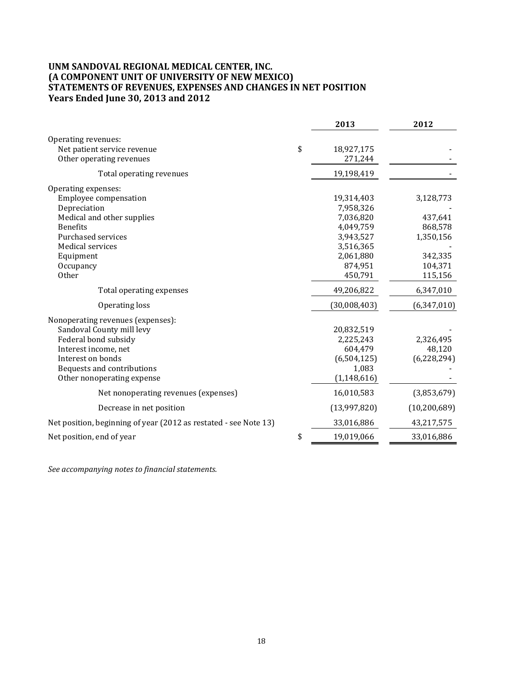#### **UNM SANDOVAL REGIONAL MEDICAL CENTER, INC. (A COMPONENT UNIT OF UNIVERSITY OF NEW MEXICO) STATEMENTS OF REVENUES, EXPENSES AND CHANGES IN NET POSITION Years Ended June 30, 2013 and 2012**

|                                                                                                                                                                                                          | 2013                                                                                                           | 2012                                                                          |
|----------------------------------------------------------------------------------------------------------------------------------------------------------------------------------------------------------|----------------------------------------------------------------------------------------------------------------|-------------------------------------------------------------------------------|
| Operating revenues:<br>Net patient service revenue<br>Other operating revenues                                                                                                                           | \$<br>18,927,175<br>271,244                                                                                    |                                                                               |
| Total operating revenues                                                                                                                                                                                 | 19,198,419                                                                                                     |                                                                               |
| Operating expenses:<br>Employee compensation<br>Depreciation<br>Medical and other supplies<br><b>Benefits</b><br>Purchased services<br><b>Medical services</b><br>Equipment<br>Occupancy<br><b>Other</b> | 19,314,403<br>7,958,326<br>7,036,820<br>4,049,759<br>3,943,527<br>3,516,365<br>2,061,880<br>874,951<br>450,791 | 3,128,773<br>437,641<br>868,578<br>1,350,156<br>342,335<br>104,371<br>115,156 |
| Total operating expenses                                                                                                                                                                                 | 49,206,822                                                                                                     | 6,347,010                                                                     |
| Operating loss                                                                                                                                                                                           | (30,008,403)                                                                                                   | (6, 347, 010)                                                                 |
| Nonoperating revenues (expenses):<br>Sandoval County mill levy<br>Federal bond subsidy<br>Interest income, net<br>Interest on bonds<br>Bequests and contributions<br>Other nonoperating expense          | 20,832,519<br>2,225,243<br>604,479<br>(6, 504, 125)<br>1,083<br>(1, 148, 616)                                  | 2,326,495<br>48,120<br>(6, 228, 294)                                          |
| Net nonoperating revenues (expenses)                                                                                                                                                                     | 16,010,583                                                                                                     | (3,853,679)                                                                   |
| Decrease in net position                                                                                                                                                                                 | (13,997,820)                                                                                                   | (10, 200, 689)                                                                |
| Net position, beginning of year (2012 as restated - see Note 13)                                                                                                                                         | 33,016,886                                                                                                     | 43,217,575                                                                    |
| Net position, end of year                                                                                                                                                                                | \$<br>19,019,066                                                                                               | 33,016,886                                                                    |

*See accompanying notes to financial statements.*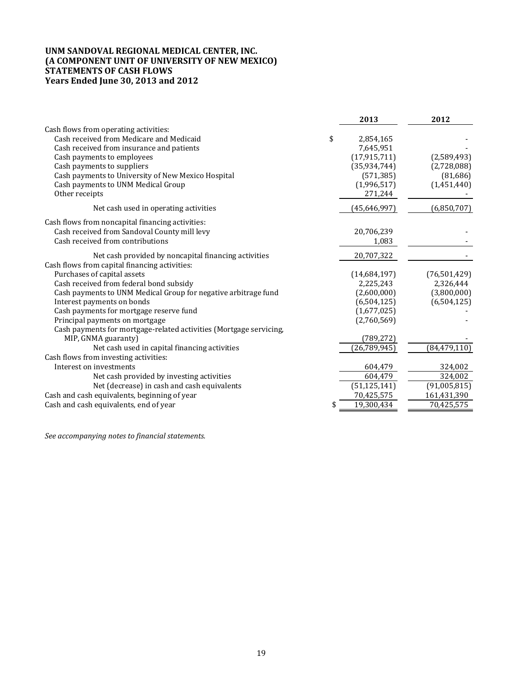#### **UNM SANDOVAL REGIONAL MEDICAL CENTER, INC. (A COMPONENT UNIT OF UNIVERSITY OF NEW MEXICO) STATEMENTS OF CASH FLOWS Years Ended June 30, 2013 and 2012**

|                                                                    | 2013           | 2012           |
|--------------------------------------------------------------------|----------------|----------------|
| Cash flows from operating activities:                              |                |                |
| Cash received from Medicare and Medicaid<br>\$                     | 2,854,165      |                |
| Cash received from insurance and patients                          | 7,645,951      |                |
| Cash payments to employees                                         | (17, 915, 711) | (2,589,493)    |
| Cash payments to suppliers                                         | (35,934,744)   | (2,728,088)    |
| Cash payments to University of New Mexico Hospital                 | (571, 385)     | (81,686)       |
| Cash payments to UNM Medical Group                                 | (1,996,517)    | (1,451,440)    |
| Other receipts                                                     | 271,244        |                |
| Net cash used in operating activities                              | (45, 646, 997) | (6,850,707)    |
| Cash flows from noncapital financing activities:                   |                |                |
| Cash received from Sandoval County mill levy                       | 20,706,239     |                |
| Cash received from contributions                                   | 1,083          |                |
| Net cash provided by noncapital financing activities               | 20,707,322     |                |
| Cash flows from capital financing activities:                      |                |                |
| Purchases of capital assets                                        | (14,684,197)   | (76,501,429)   |
| Cash received from federal bond subsidy                            | 2,225,243      | 2,326,444      |
| Cash payments to UNM Medical Group for negative arbitrage fund     | (2,600,000)    | (3,800,000)    |
| Interest payments on bonds                                         | (6,504,125)    | (6,504,125)    |
| Cash payments for mortgage reserve fund                            | (1,677,025)    |                |
| Principal payments on mortgage                                     | (2,760,569)    |                |
| Cash payments for mortgage-related activities (Mortgage servicing, |                |                |
| MIP, GNMA guaranty)                                                | (789, 272)     |                |
| Net cash used in capital financing activities                      | (26, 789, 945) | (84, 479, 110) |
| Cash flows from investing activities:                              |                |                |
| Interest on investments                                            | 604,479        | 324,002        |
| Net cash provided by investing activities                          | 604,479        | 324,002        |
| Net (decrease) in cash and cash equivalents                        | (51, 125, 141) | (91,005,815)   |
| Cash and cash equivalents, beginning of year                       | 70,425,575     | 161,431,390    |
| Cash and cash equivalents, end of year<br>\$                       | 19,300,434     | 70,425,575     |

*See accompanying notes to financial statements.*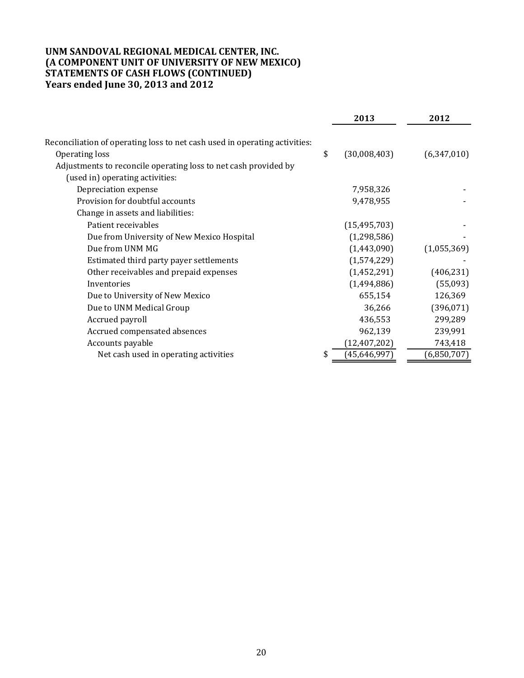### **UNM SANDOVAL REGIONAL MEDICAL CENTER, INC. (A COMPONENT UNIT OF UNIVERSITY OF NEW MEXICO) STATEMENTS OF CASH FLOWS (CONTINUED) Years ended June 30, 2013 and 2012**

|                                                                                              | 2013               | 2012        |
|----------------------------------------------------------------------------------------------|--------------------|-------------|
| Reconciliation of operating loss to net cash used in operating activities:<br>Operating loss | \$<br>(30,008,403) | (6,347,010) |
| Adjustments to reconcile operating loss to net cash provided by                              |                    |             |
| (used in) operating activities:                                                              |                    |             |
| Depreciation expense                                                                         | 7,958,326          |             |
| Provision for doubtful accounts                                                              | 9,478,955          |             |
| Change in assets and liabilities:                                                            |                    |             |
| Patient receivables                                                                          | (15, 495, 703)     |             |
| Due from University of New Mexico Hospital                                                   | (1,298,586)        |             |
| Due from UNM MG                                                                              | (1,443,090)        | (1,055,369) |
| Estimated third party payer settlements                                                      | (1,574,229)        |             |
| Other receivables and prepaid expenses                                                       | (1,452,291)        | (406, 231)  |
| Inventories                                                                                  | (1,494,886)        | (55,093)    |
| Due to University of New Mexico                                                              | 655,154            | 126,369     |
| Due to UNM Medical Group                                                                     | 36,266             | (396, 071)  |
| Accrued payroll                                                                              | 436,553            | 299,289     |
| Accrued compensated absences                                                                 | 962,139            | 239,991     |
| Accounts payable                                                                             | (12, 407, 202)     | 743,418     |
| Net cash used in operating activities                                                        | (45, 646, 997)     | (6,850,707) |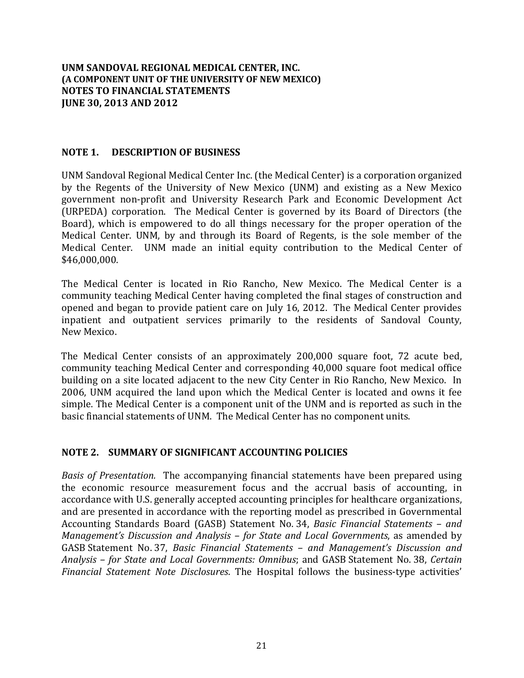### **NOTE 1. DESCRIPTION OF BUSINESS**

UNM Sandoval Regional Medical Center Inc. (the Medical Center) is a corporation organized by the Regents of the University of New Mexico (UNM) and existing as a New Mexico government non-profit and University Research Park and Economic Development Act (URPEDA) corporation. The Medical Center is governed by its Board of Directors (the Board), which is empowered to do all things necessary for the proper operation of the Medical Center. UNM, by and through its Board of Regents, is the sole member of the Medical Center. UNM made an initial equity contribution to the Medical Center of \$46,000,000. 

The Medical Center is located in Rio Rancho, New Mexico. The Medical Center is a community teaching Medical Center having completed the final stages of construction and opened and began to provide patient care on July 16, 2012. The Medical Center provides inpatient and outpatient services primarily to the residents of Sandoval County, New Mexico. 

The Medical Center consists of an approximately 200,000 square foot, 72 acute bed, community teaching Medical Center and corresponding 40,000 square foot medical office building on a site located adjacent to the new City Center in Rio Rancho, New Mexico. In 2006, UNM acquired the land upon which the Medical Center is located and owns it fee simple. The Medical Center is a component unit of the UNM and is reported as such in the basic financial statements of UNM. The Medical Center has no component units.

### **NOTE 2. SUMMARY OF SIGNIFICANT ACCOUNTING POLICIES**

*Basis* of *Presentation*. The accompanying financial statements have been prepared using the economic resource measurement focus and the accrual basis of accounting, in accordance with U.S. generally accepted accounting principles for healthcare organizations, and are presented in accordance with the reporting model as prescribed in Governmental Accounting Standards Board (GASB) Statement No. 34, *Basic Financial Statements – and Management's Discussion and Analysis – for State and Local Governments*, as amended by GASB Statement No. 37, *Basic Financial Statements – and Management's Discussion and Analysis – for State and Local Governments: Omnibus*; and GASB Statement No. 38, *Certain Financial Statement Note Disclosures*. The Hospital follows the business-type activities'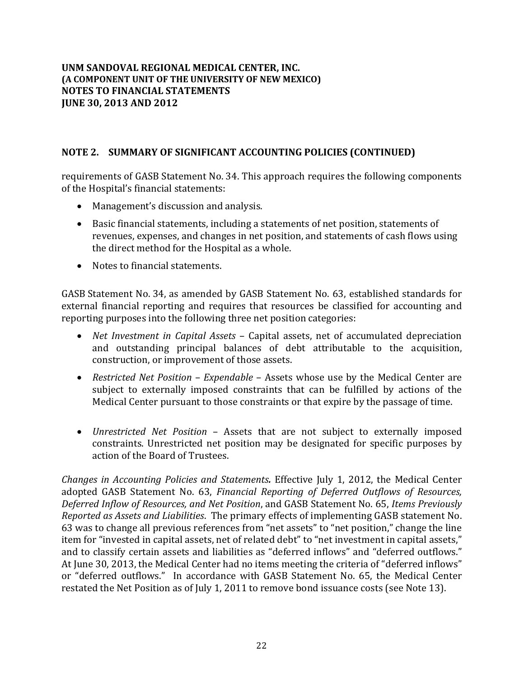# **NOTE 2. SUMMARY OF SIGNIFICANT ACCOUNTING POLICIES (CONTINUED)**

requirements of GASB Statement No. 34. This approach requires the following components of the Hospital's financial statements:

- Management's discussion and analysis.
- Basic financial statements, including a statements of net position, statements of revenues, expenses, and changes in net position, and statements of cash flows using the direct method for the Hospital as a whole.
- Notes to financial statements.

GASB Statement No. 34, as amended by GASB Statement No. 63, established standards for external financial reporting and requires that resources be classified for accounting and reporting purposes into the following three net position categories:

- *Net Investment in Capital Assets* Capital assets, net of accumulated depreciation and outstanding principal balances of debt attributable to the acquisition, construction, or improvement of those assets.
- Restricted Net Position Expendable Assets whose use by the Medical Center are subject to externally imposed constraints that can be fulfilled by actions of the Medical Center pursuant to those constraints or that expire by the passage of time.
- *Unrestricted Net Position* Assets that are not subject to externally imposed constraints. Unrestricted net position may be designated for specific purposes by action of the Board of Trustees.

*Changes in Accounting Policies and Statements.* Effective July 1, 2012, the Medical Center adopted GASB Statement No. 63, *Financial Reporting of Deferred Outflows of Resources, Deferred Inflow of Resources, and Net Position*, and GASB Statement No. 65, *Items Previously Reported as Assets and Liabilities*. The primary effects of implementing GASB statement No. 63 was to change all previous references from "net assets" to "net position," change the line item for "invested in capital assets, net of related debt" to "net investment in capital assets," and to classify certain assets and liabilities as "deferred inflows" and "deferred outflows." At June 30, 2013, the Medical Center had no items meeting the criteria of "deferred inflows" or "deferred outflows." In accordance with GASB Statement No. 65, the Medical Center restated the Net Position as of July 1, 2011 to remove bond issuance costs (see Note 13).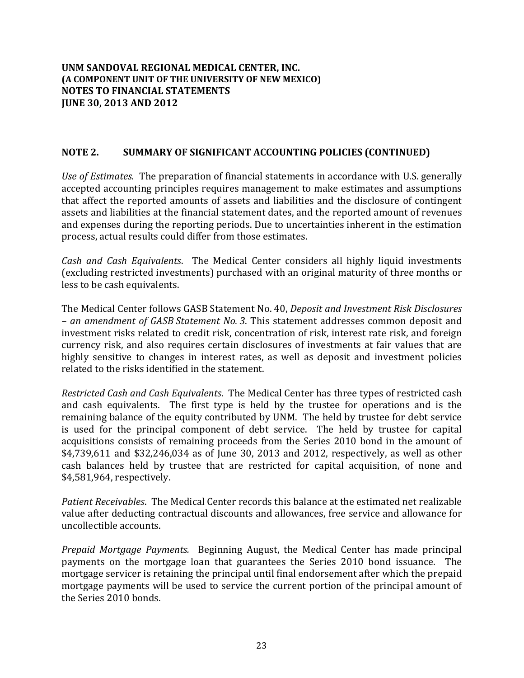### **NOTE 2. SUMMARY OF SIGNIFICANT ACCOUNTING POLICIES (CONTINUED)**

*Use of Estimates.* The preparation of financial statements in accordance with U.S. generally accepted accounting principles requires management to make estimates and assumptions that affect the reported amounts of assets and liabilities and the disclosure of contingent assets and liabilities at the financial statement dates, and the reported amount of revenues and expenses during the reporting periods. Due to uncertainties inherent in the estimation process, actual results could differ from those estimates.

*Cash and Cash Equivalents.* The Medical Center considers all highly liquid investments (excluding restricted investments) purchased with an original maturity of three months or less to be cash equivalents.

The Medical Center follows GASB Statement No. 40, *Deposit and Investment Risk Disclosures – an amendment of GASB Statement No. 3*. This statement addresses common deposit and investment risks related to credit risk, concentration of risk, interest rate risk, and foreign currency risk, and also requires certain disclosures of investments at fair values that are highly sensitive to changes in interest rates, as well as deposit and investment policies related to the risks identified in the statement.

*Restricted Cash and Cash Equivalents*. The Medical Center has three types of restricted cash and cash equivalents. The first type is held by the trustee for operations and is the remaining balance of the equity contributed by UNM. The held by trustee for debt service is used for the principal component of debt service. The held by trustee for capital acquisitions consists of remaining proceeds from the Series 2010 bond in the amount of  $$4,739,611$  and  $$32,246,034$  as of June 30, 2013 and 2012, respectively, as well as other cash balances held by trustee that are restricted for capital acquisition, of none and \$4,581,964, respectively.

*Patient Receivables*. The Medical Center records this balance at the estimated net realizable value after deducting contractual discounts and allowances, free service and allowance for uncollectible accounts.

*Prepaid Mortgage Payments.* Beginning August, the Medical Center has made principal payments on the mortgage loan that guarantees the Series 2010 bond issuance. The mortgage servicer is retaining the principal until final endorsement after which the prepaid mortgage payments will be used to service the current portion of the principal amount of the Series 2010 bonds.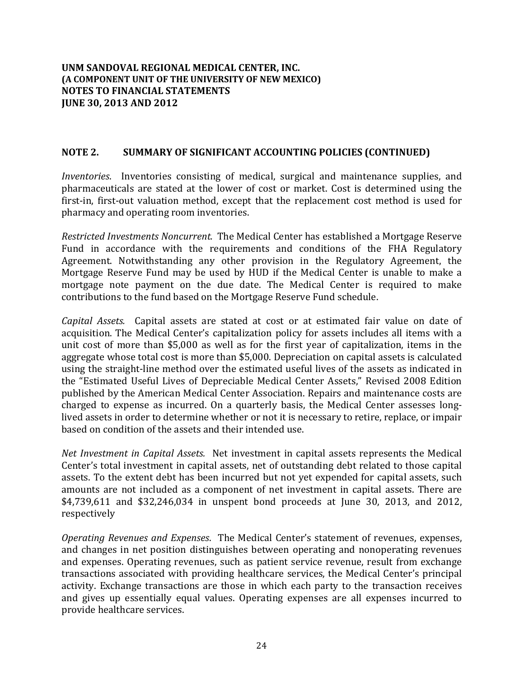### **NOTE 2. SUMMARY OF SIGNIFICANT ACCOUNTING POLICIES (CONTINUED)**

*Inventories*. Inventories consisting of medical, surgical and maintenance supplies, and pharmaceuticals are stated at the lower of cost or market. Cost is determined using the first-in, first-out valuation method, except that the replacement cost method is used for pharmacy and operating room inventories.

*Restricted Investments Noncurrent.*The Medical Center has established a Mortgage Reserve Fund in accordance with the requirements and conditions of the FHA Regulatory Agreement. Notwithstanding any other provision in the Regulatory Agreement, the Mortgage Reserve Fund may be used by HUD if the Medical Center is unable to make a mortgage note payment on the due date. The Medical Center is required to make contributions to the fund based on the Mortgage Reserve Fund schedule.

*Capital Assets.* Capital assets are stated at cost or at estimated fair value on date of acquisition. The Medical Center's capitalization policy for assets includes all items with a unit cost of more than \$5,000 as well as for the first year of capitalization, items in the aggregate whose total cost is more than \$5,000. Depreciation on capital assets is calculated using the straight-line method over the estimated useful lives of the assets as indicated in the "Estimated Useful Lives of Depreciable Medical Center Assets," Revised 2008 Edition published by the American Medical Center Association. Repairs and maintenance costs are charged to expense as incurred. On a quarterly basis, the Medical Center assesses longlived assets in order to determine whether or not it is necessary to retire, replace, or impair based on condition of the assets and their intended use.

*Net Investment in Capital Assets.* Net investment in capital assets represents the Medical Center's total investment in capital assets, net of outstanding debt related to those capital assets. To the extent debt has been incurred but not yet expended for capital assets, such amounts are not included as a component of net investment in capital assets. There are  $$4,739,611$  and  $$32,246,034$  in unspent bond proceeds at lune 30, 2013, and 2012, respectively 

*Operating Revenues and Expenses*. The Medical Center's statement of revenues, expenses, and changes in net position distinguishes between operating and nonoperating revenues and expenses. Operating revenues, such as patient service revenue, result from exchange transactions associated with providing healthcare services, the Medical Center's principal activity. Exchange transactions are those in which each party to the transaction receives and gives up essentially equal values. Operating expenses are all expenses incurred to provide healthcare services.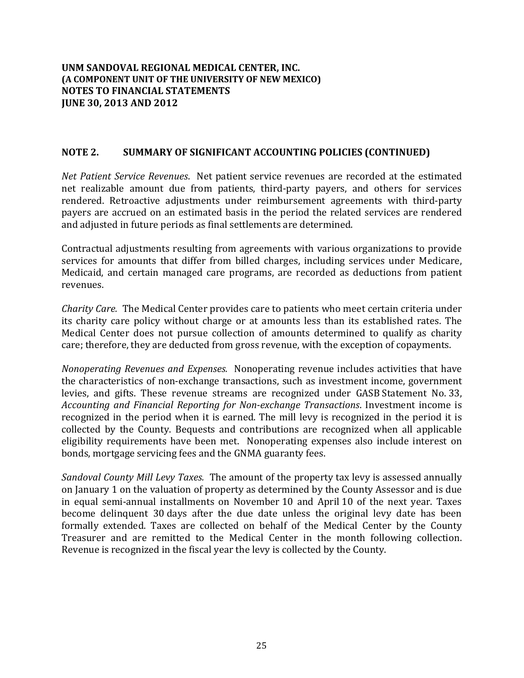### **NOTE 2. SUMMARY OF SIGNIFICANT ACCOUNTING POLICIES (CONTINUED)**

*Net Patient Service Revenues.* Net patient service revenues are recorded at the estimated net realizable amount due from patients, third-party payers, and others for services rendered. Retroactive adjustments under reimbursement agreements with third-party payers are accrued on an estimated basis in the period the related services are rendered and adjusted in future periods as final settlements are determined.

Contractual adjustments resulting from agreements with various organizations to provide services for amounts that differ from billed charges, including services under Medicare, Medicaid, and certain managed care programs, are recorded as deductions from patient revenues.

*Charity Care.* The Medical Center provides care to patients who meet certain criteria under its charity care policy without charge or at amounts less than its established rates. The Medical Center does not pursue collection of amounts determined to qualify as charity care; therefore, they are deducted from gross revenue, with the exception of copayments.

*Nonoperating Revenues and Expenses.* Nonoperating revenue includes activities that have the characteristics of non-exchange transactions, such as investment income, government levies, and gifts. These revenue streams are recognized under GASB Statement No. 33, *Accounting and Financial Reporting for Non‐exchange Transactions*. Investment income is recognized in the period when it is earned. The mill levy is recognized in the period it is collected by the County. Bequests and contributions are recognized when all applicable eligibility requirements have been met. Nonoperating expenses also include interest on bonds, mortgage servicing fees and the GNMA guaranty fees.

*Sandoval County Mill Levy Taxes.* The amount of the property tax levy is assessed annually on January 1 on the valuation of property as determined by the County Assessor and is due in equal semi-annual installments on November 10 and April 10 of the next year. Taxes become delinquent 30 days after the due date unless the original levy date has been formally extended. Taxes are collected on behalf of the Medical Center by the County Treasurer and are remitted to the Medical Center in the month following collection. Revenue is recognized in the fiscal year the levy is collected by the County.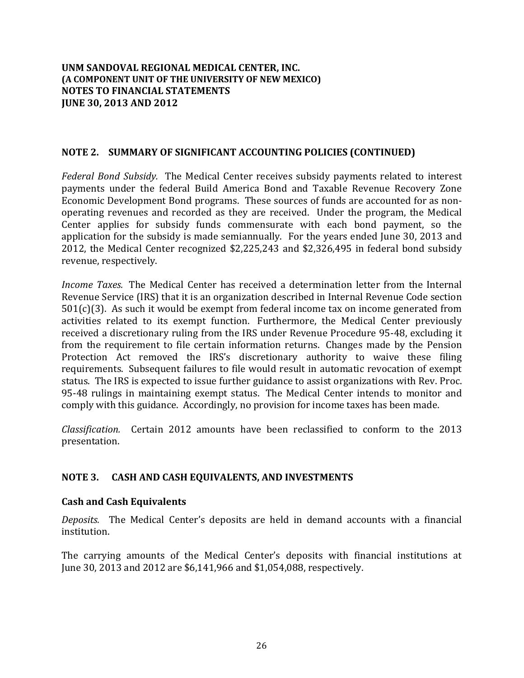### **NOTE 2. SUMMARY OF SIGNIFICANT ACCOUNTING POLICIES (CONTINUED)**

*Federal Bond Subsidy.* The Medical Center receives subsidy payments related to interest payments under the federal Build America Bond and Taxable Revenue Recovery Zone Economic Development Bond programs. These sources of funds are accounted for as nonoperating revenues and recorded as they are received. Under the program, the Medical Center applies for subsidy funds commensurate with each bond payment, so the application for the subsidy is made semiannually. For the years ended June 30, 2013 and 2012, the Medical Center recognized  $$2,225,243$  and  $$2,326,495$  in federal bond subsidy revenue, respectively.

*Income Taxes.* The Medical Center has received a determination letter from the Internal Revenue Service (IRS) that it is an organization described in Internal Revenue Code section  $501(c)(3)$ . As such it would be exempt from federal income tax on income generated from activities related to its exempt function. Furthermore, the Medical Center previously received a discretionary ruling from the IRS under Revenue Procedure 95-48, excluding it from the requirement to file certain information returns. Changes made by the Pension Protection Act removed the IRS's discretionary authority to waive these filing requirements. Subsequent failures to file would result in automatic revocation of exempt status. The IRS is expected to issue further guidance to assist organizations with Rev. Proc. 95-48 rulings in maintaining exempt status. The Medical Center intends to monitor and comply with this guidance. Accordingly, no provision for income taxes has been made.

*Classification.* Certain 2012 amounts have been reclassified to conform to the 2013 presentation. 

### **NOTE 3. CASH AND CASH EQUIVALENTS, AND INVESTMENTS**

### **Cash and Cash Equivalents**

*Deposits.* The Medical Center's deposits are held in demand accounts with a financial institution. 

The carrying amounts of the Medical Center's deposits with financial institutions at June 30, 2013 and 2012 are \$6,141,966 and \$1,054,088, respectively.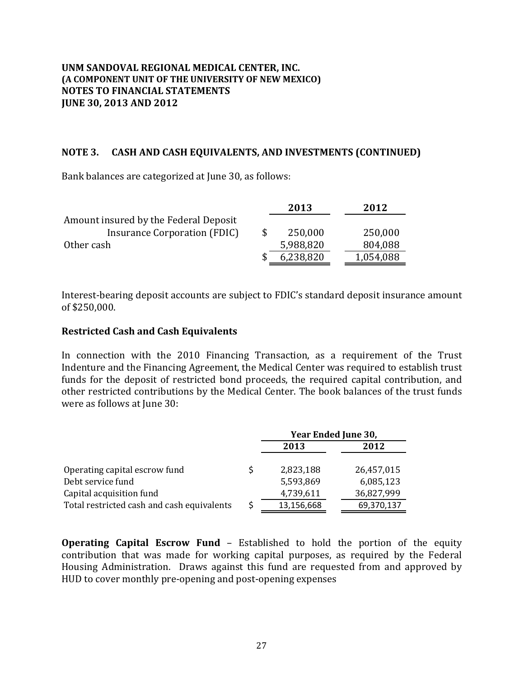### **NOTE 3. CASH AND CASH EQUIVALENTS, AND INVESTMENTS (CONTINUED)**

Bank balances are categorized at June 30, as follows:

|                                       | 2013      | 2012      |
|---------------------------------------|-----------|-----------|
| Amount insured by the Federal Deposit |           |           |
| Insurance Corporation (FDIC)          | 250,000   | 250,000   |
| Other cash                            | 5,988,820 | 804,088   |
|                                       | 6,238,820 | 1,054,088 |

Interest-bearing deposit accounts are subject to FDIC's standard deposit insurance amount of \$250,000. 

### **Restricted Cash and Cash Equivalents**

In connection with the 2010 Financing Transaction, as a requirement of the Trust Indenture and the Financing Agreement, the Medical Center was required to establish trust funds for the deposit of restricted bond proceeds, the required capital contribution, and other restricted contributions by the Medical Center. The book balances of the trust funds were as follows at June 30:

|                                            |            | Year Ended June 30, |
|--------------------------------------------|------------|---------------------|
|                                            | 2013       | 2012                |
| Operating capital escrow fund              | 2,823,188  | 26,457,015          |
| Debt service fund                          | 5,593,869  | 6,085,123           |
| Capital acquisition fund                   | 4,739,611  | 36,827,999          |
| Total restricted cash and cash equivalents | 13,156,668 | 69,370,137          |

**Operating Capital Escrow Fund** - Established to hold the portion of the equity contribution that was made for working capital purposes, as required by the Federal Housing Administration. Draws against this fund are requested from and approved by HUD to cover monthly pre-opening and post-opening expenses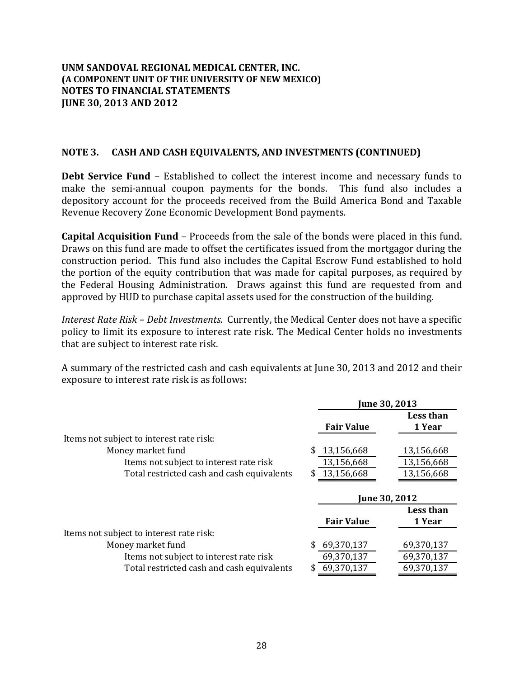### **NOTE 3. CASH AND CASH EQUIVALENTS, AND INVESTMENTS (CONTINUED)**

**Debt Service Fund** – Established to collect the interest income and necessary funds to make the semi-annual coupon payments for the bonds. This fund also includes a depository account for the proceeds received from the Build America Bond and Taxable Revenue Recovery Zone Economic Development Bond payments.

**Capital Acquisition Fund** – Proceeds from the sale of the bonds were placed in this fund. Draws on this fund are made to offset the certificates issued from the mortgagor during the construction period. This fund also includes the Capital Escrow Fund established to hold the portion of the equity contribution that was made for capital purposes, as required by the Federal Housing Administration. Draws against this fund are requested from and approved by HUD to purchase capital assets used for the construction of the building.

*Interest Rate Risk – Debt Investments.* Currently, the Medical Center does not have a specific policy to limit its exposure to interest rate risk. The Medical Center holds no investments that are subject to interest rate risk.

A summary of the restricted cash and cash equivalents at June 30, 2013 and 2012 and their exposure to interest rate risk is as follows:

| June 30, 2013     |                |  |
|-------------------|----------------|--|
|                   | Less than      |  |
| <b>Fair Value</b> | 1 Year         |  |
|                   |                |  |
| 13,156,668        | 13,156,668     |  |
| 13,156,668        | 13,156,668     |  |
| 13,156,668        | 13,156,668     |  |
|                   |                |  |
| June 30, 2012     |                |  |
|                   | Less than      |  |
| <b>Fair Value</b> | 1 Year         |  |
|                   |                |  |
| 69,370,137        | 69,370,137     |  |
| 69,370,137        | 69,370,137     |  |
| 69,370,137        | 69,370,137     |  |
|                   | \$<br>\$<br>\$ |  |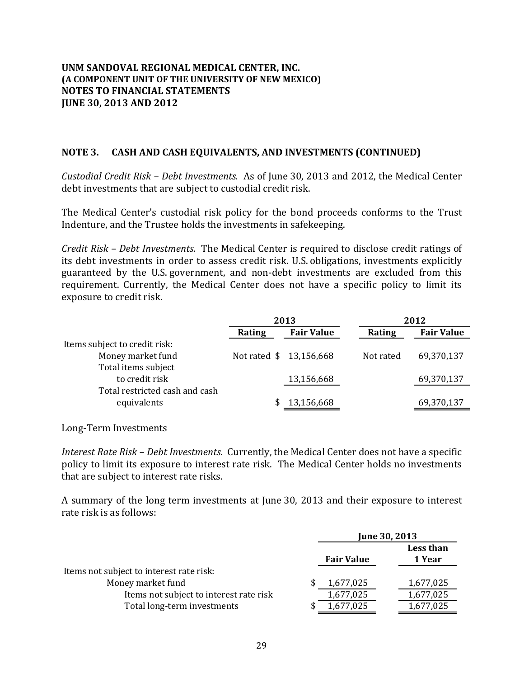### **NOTE 3. CASH AND CASH EQUIVALENTS, AND INVESTMENTS (CONTINUED)**

*Custodial Credit Risk – Debt Investments.* As of June 30, 2013 and 2012, the Medical Center debt investments that are subject to custodial credit risk.

The Medical Center's custodial risk policy for the bond proceeds conforms to the Trust Indenture, and the Trustee holds the investments in safekeeping.

*Credit Risk – Debt Investments.* The Medical Center is required to disclose credit ratings of its debt investments in order to assess credit risk. U.S. obligations, investments explicitly guaranteed by the U.S. government, and non-debt investments are excluded from this requirement. Currently, the Medical Center does not have a specific policy to limit its exposure to credit risk.

|                                |                         | 2013              | 2012      |                   |
|--------------------------------|-------------------------|-------------------|-----------|-------------------|
|                                | Rating                  | <b>Fair Value</b> | Rating    | <b>Fair Value</b> |
| Items subject to credit risk:  |                         |                   |           |                   |
| Money market fund              | Not rated \$ 13,156,668 |                   | Not rated | 69,370,137        |
| Total items subject            |                         |                   |           |                   |
| to credit risk                 |                         | 13,156,668        |           | 69,370,137        |
| Total restricted cash and cash |                         |                   |           |                   |
| equivalents                    |                         | 13,156,668        |           | 69,370,137        |

Long‐Term Investments 

*Interest Rate Risk – Debt Investments.* Currently, the Medical Center does not have a specific policy to limit its exposure to interest rate risk. The Medical Center holds no investments that are subject to interest rate risks.

A summary of the long term investments at June 30, 2013 and their exposure to interest rate risk is as follows:

|                                          | June 30, 2013     |  |                     |
|------------------------------------------|-------------------|--|---------------------|
|                                          | <b>Fair Value</b> |  | Less than<br>1 Year |
| Items not subject to interest rate risk: |                   |  |                     |
| Money market fund                        | 1,677,025         |  | 1,677,025           |
| Items not subject to interest rate risk  | 1,677,025         |  | 1,677,025           |
| Total long-term investments              | 1,677,025         |  | 1,677,025           |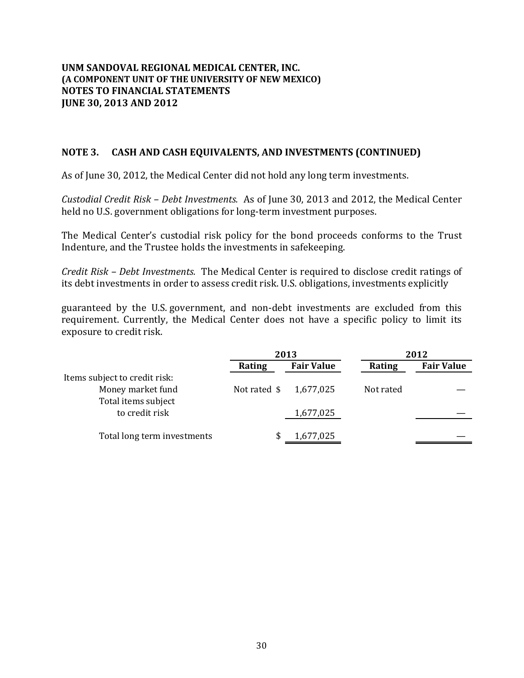### **NOTE 3. CASH AND CASH EQUIVALENTS, AND INVESTMENTS (CONTINUED)**

As of June 30, 2012, the Medical Center did not hold any long term investments.

*Custodial Credit Risk – Debt Investments.* As of June 30, 2013 and 2012, the Medical Center held no U.S. government obligations for long-term investment purposes.

The Medical Center's custodial risk policy for the bond proceeds conforms to the Trust Indenture, and the Trustee holds the investments in safekeeping.

*Credit Risk – Debt Investments.* The Medical Center is required to disclose credit ratings of its debt investments in order to assess credit risk. U.S. obligations, investments explicitly

guaranteed by the U.S. government, and non-debt investments are excluded from this requirement. Currently, the Medical Center does not have a specific policy to limit its exposure to credit risk.

|                               |              | 2013              | 2012      |                   |
|-------------------------------|--------------|-------------------|-----------|-------------------|
|                               | Rating       | <b>Fair Value</b> | Rating    | <b>Fair Value</b> |
| Items subject to credit risk: |              |                   |           |                   |
| Money market fund             | Not rated \$ | 1,677,025         | Not rated |                   |
| Total items subject           |              |                   |           |                   |
| to credit risk                |              | 1,677,025         |           |                   |
|                               |              |                   |           |                   |
| Total long term investments   |              | 1,677,025         |           |                   |
|                               |              |                   |           |                   |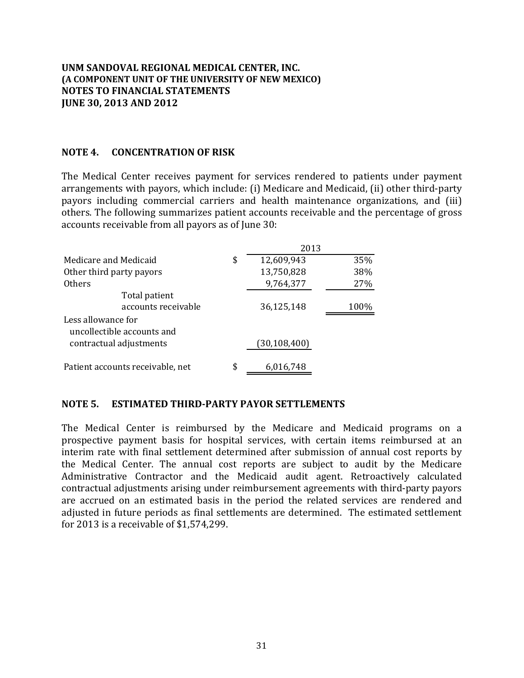### **NOTE 4. CONCENTRATION OF RISK**

The Medical Center receives payment for services rendered to patients under payment arrangements with payors, which include: (i) Medicare and Medicaid, (ii) other third-party payors including commercial carriers and health maintenance organizations, and (iii) others. The following summarizes patient accounts receivable and the percentage of gross accounts receivable from all payors as of June 30:

| Medicare and Medicaid                            | \$ | 12,609,943   | 35%  |
|--------------------------------------------------|----|--------------|------|
| Other third party payors                         |    | 13,750,828   | 38%  |
| Others                                           |    | 9,764,377    | 27%  |
| Total patient<br>accounts receivable             |    | 36,125,148   | 100% |
| Less allowance for<br>uncollectible accounts and |    |              |      |
| contractual adjustments                          |    | (30,108,400) |      |
| Patient accounts receivable, net                 | \$ | 6,016,748    |      |

### **NOTE 5. ESTIMATED THIRD‐PARTY PAYOR SETTLEMENTS**

The Medical Center is reimbursed by the Medicare and Medicaid programs on a prospective payment basis for hospital services, with certain items reimbursed at an interim rate with final settlement determined after submission of annual cost reports by the Medical Center. The annual cost reports are subject to audit by the Medicare Administrative Contractor and the Medicaid audit agent. Retroactively calculated contractual adjustments arising under reimbursement agreements with third-party payors are accrued on an estimated basis in the period the related services are rendered and adjusted in future periods as final settlements are determined. The estimated settlement for 2013 is a receivable of  $$1,574,299$ .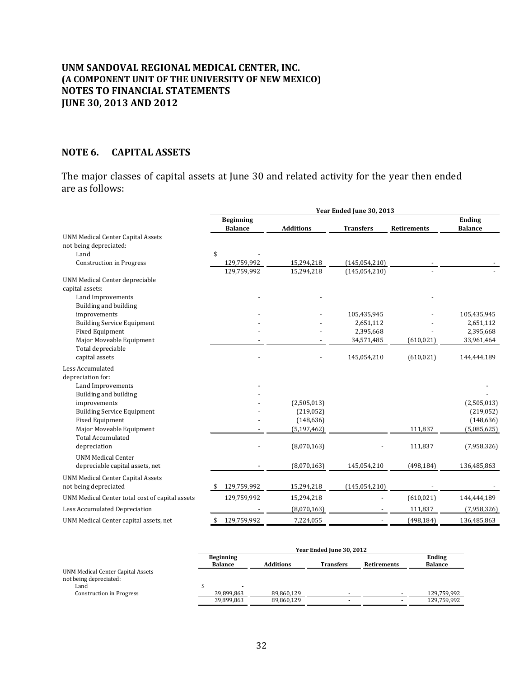### **NOTE 6. CAPITAL ASSETS**

The major classes of capital assets at June 30 and related activity for the year then ended are as follows:

|                                                 | Year Ended June 30, 2013           |                  |                  |                    |                          |
|-------------------------------------------------|------------------------------------|------------------|------------------|--------------------|--------------------------|
|                                                 | <b>Beginning</b><br><b>Balance</b> | <b>Additions</b> | <b>Transfers</b> | <b>Retirements</b> | Ending<br><b>Balance</b> |
| <b>UNM Medical Center Capital Assets</b>        |                                    |                  |                  |                    |                          |
| not being depreciated:                          |                                    |                  |                  |                    |                          |
| Land                                            | \$                                 |                  |                  |                    |                          |
| <b>Construction in Progress</b>                 | 129,759,992                        | 15,294,218       | (145, 054, 210)  |                    |                          |
|                                                 | 129,759,992                        | 15,294,218       | (145, 054, 210)  |                    |                          |
| UNM Medical Center depreciable                  |                                    |                  |                  |                    |                          |
| capital assets:                                 |                                    |                  |                  |                    |                          |
| Land Improvements                               |                                    |                  |                  |                    |                          |
| Building and building                           |                                    |                  |                  |                    |                          |
| improvements                                    |                                    |                  | 105,435,945      |                    | 105,435,945              |
| <b>Building Service Equipment</b>               |                                    |                  | 2,651,112        |                    | 2,651,112                |
| <b>Fixed Equipment</b>                          |                                    |                  | 2,395,668        |                    | 2,395,668                |
| Major Moveable Equipment                        |                                    |                  | 34,571,485       | (610, 021)         | 33,961,464               |
| Total depreciable                               |                                    |                  |                  |                    |                          |
| capital assets                                  |                                    |                  | 145,054,210      | (610, 021)         | 144,444,189              |
| Less Accumulated                                |                                    |                  |                  |                    |                          |
| depreciation for:                               |                                    |                  |                  |                    |                          |
| Land Improvements                               |                                    |                  |                  |                    |                          |
| Building and building                           |                                    |                  |                  |                    |                          |
| improvements                                    |                                    | (2,505,013)      |                  |                    | (2,505,013)              |
| <b>Building Service Equipment</b>               |                                    | (219,052)        |                  |                    | (219, 052)               |
| <b>Fixed Equipment</b>                          |                                    | (148, 636)       |                  |                    | (148, 636)               |
| Major Moveable Equipment                        |                                    | (5, 197, 462)    |                  | 111,837            | (5,085,625)              |
| <b>Total Accumulated</b>                        |                                    |                  |                  |                    |                          |
| depreciation                                    |                                    | (8,070,163)      |                  | 111,837            | (7,958,326)              |
| <b>UNM Medical Center</b>                       |                                    |                  |                  |                    |                          |
| depreciable capital assets, net                 |                                    | (8,070,163)      | 145,054,210      | (498, 184)         | 136,485,863              |
| <b>UNM Medical Center Capital Assets</b>        |                                    |                  |                  |                    |                          |
| not being depreciated                           | 129,759,992                        | 15,294,218       | (145, 054, 210)  |                    |                          |
| UNM Medical Center total cost of capital assets | 129,759,992                        | 15,294,218       |                  | (610, 021)         | 144,444,189              |
| Less Accumulated Depreciation                   |                                    | (8,070,163)      |                  | 111,837            | (7,958,326)              |
| UNM Medical Center capital assets, net          | 129,759,992<br>\$                  | 7,224,055        |                  | (498, 184)         | 136,485,863              |

|                                                             | Year Ended June 30, 2012           |                  |                  |                    |                          |
|-------------------------------------------------------------|------------------------------------|------------------|------------------|--------------------|--------------------------|
|                                                             | <b>Beginning</b><br><b>Balance</b> | <b>Additions</b> | <b>Transfers</b> | <b>Retirements</b> | Ending<br><b>Balance</b> |
| UNM Medical Center Capital Assets<br>not being depreciated: |                                    |                  |                  |                    |                          |
| Land                                                        |                                    |                  |                  |                    |                          |
| <b>Construction in Progress</b>                             | 39,899,863                         | 89,860,129       |                  |                    | 129,759,992              |
|                                                             | 39,899,863                         | 89,860,129       |                  |                    | 129,759,992              |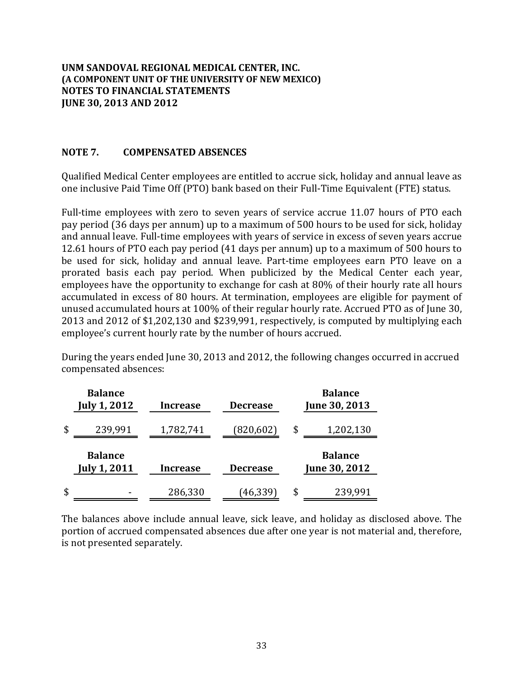### **NOTE 7. COMPENSATED ABSENCES**

Qualified Medical Center employees are entitled to accrue sick, holiday and annual leave as one inclusive Paid Time Off (PTO) bank based on their Full-Time Equivalent (FTE) status.

Full-time employees with zero to seven years of service accrue 11.07 hours of PTO each pay period (36 days per annum) up to a maximum of 500 hours to be used for sick, holiday and annual leave. Full-time employees with years of service in excess of seven years accrue 12.61 hours of PTO each pay period (41 days per annum) up to a maximum of 500 hours to be used for sick, holiday and annual leave. Part-time employees earn PTO leave on a prorated basis each pay period. When publicized by the Medical Center each year, employees have the opportunity to exchange for cash at 80% of their hourly rate all hours accumulated in excess of 80 hours. At termination, employees are eligible for payment of unused accumulated hours at 100% of their regular hourly rate. Accrued PTO as of June 30, 2013 and  $2012$  of \$1,202,130 and \$239,991, respectively, is computed by multiplying each employee's current hourly rate by the number of hours accrued.

During the years ended June 30, 2013 and 2012, the following changes occurred in accrued compensated absences:

| <b>Balance</b><br><b>July 1, 2012</b> | <b>Increase</b> | <b>Decrease</b> | <b>Balance</b><br>June 30, 2013 |
|---------------------------------------|-----------------|-----------------|---------------------------------|
| \$<br>239,991                         | 1,782,741       | (820, 602)      | 1,202,130<br>\$                 |
| <b>Balance</b><br><b>July 1, 2011</b> | <b>Increase</b> | <b>Decrease</b> | <b>Balance</b><br>June 30, 2012 |
| \$                                    |                 | (46,339)        | \$<br>239,991                   |

The balances above include annual leave, sick leave, and holiday as disclosed above. The portion of accrued compensated absences due after one year is not material and, therefore, is not presented separately.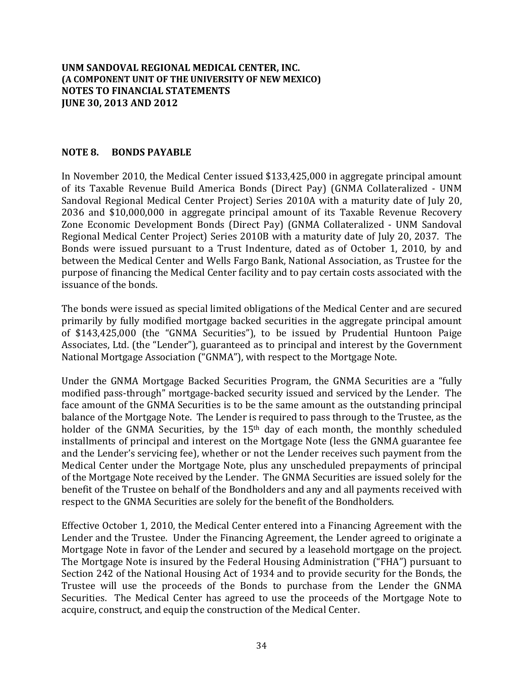### **NOTE 8. BONDS PAYABLE**

In November 2010, the Medical Center issued  $$133,425,000$  in aggregate principal amount of its Taxable Revenue Build America Bonds (Direct Pay) (GNMA Collateralized - UNM Sandoval Regional Medical Center Project) Series 2010A with a maturity date of July 20, 2036 and \$10,000,000 in aggregate principal amount of its Taxable Revenue Recovery Zone Economic Development Bonds (Direct Pay) (GNMA Collateralized - UNM Sandoval Regional Medical Center Project) Series 2010B with a maturity date of July 20, 2037. The Bonds were issued pursuant to a Trust Indenture, dated as of October 1, 2010, by and between the Medical Center and Wells Fargo Bank, National Association, as Trustee for the purpose of financing the Medical Center facility and to pay certain costs associated with the issuance of the bonds.

The bonds were issued as special limited obligations of the Medical Center and are secured primarily by fully modified mortgage backed securities in the aggregate principal amount of \$143,425,000 (the "GNMA Securities"), to be issued by Prudential Huntoon Paige Associates, Ltd. (the "Lender"), guaranteed as to principal and interest by the Government National Mortgage Association ("GNMA"), with respect to the Mortgage Note.

Under the GNMA Mortgage Backed Securities Program, the GNMA Securities are a "fully modified pass-through" mortgage-backed security issued and serviced by the Lender. The face amount of the GNMA Securities is to be the same amount as the outstanding principal balance of the Mortgage Note. The Lender is required to pass through to the Trustee, as the holder of the GNMA Securities, by the  $15<sup>th</sup>$  day of each month, the monthly scheduled installments of principal and interest on the Mortgage Note (less the GNMA guarantee fee and the Lender's servicing fee), whether or not the Lender receives such payment from the Medical Center under the Mortgage Note, plus any unscheduled prepayments of principal of the Mortgage Note received by the Lender. The GNMA Securities are issued solely for the benefit of the Trustee on behalf of the Bondholders and any and all payments received with respect to the GNMA Securities are solely for the benefit of the Bondholders.

Effective October 1, 2010, the Medical Center entered into a Financing Agreement with the Lender and the Trustee. Under the Financing Agreement, the Lender agreed to originate a Mortgage Note in favor of the Lender and secured by a leasehold mortgage on the project. The Mortgage Note is insured by the Federal Housing Administration ("FHA") pursuant to Section 242 of the National Housing Act of 1934 and to provide security for the Bonds, the Trustee will use the proceeds of the Bonds to purchase from the Lender the GNMA Securities. The Medical Center has agreed to use the proceeds of the Mortgage Note to acquire, construct, and equip the construction of the Medical Center.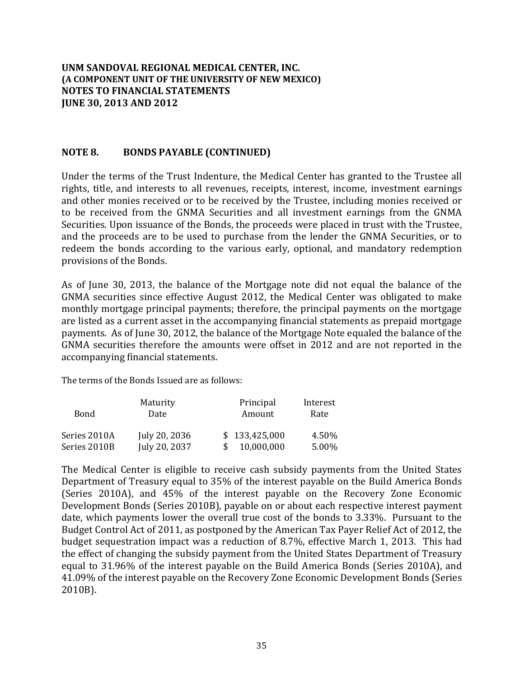### **NOTE 8. BONDS PAYABLE (CONTINUED)**

Under the terms of the Trust Indenture, the Medical Center has granted to the Trustee all rights, title, and interests to all revenues, receipts, interest, income, investment earnings and other monies received or to be received by the Trustee, including monies received or to be received from the GNMA Securities and all investment earnings from the GNMA Securities. Upon issuance of the Bonds, the proceeds were placed in trust with the Trustee, and the proceeds are to be used to purchase from the lender the GNMA Securities, or to redeem the bonds according to the various early, optional, and mandatory redemption provisions of the Bonds.

As of June 30, 2013, the balance of the Mortgage note did not equal the balance of the GNMA securities since effective August 2012, the Medical Center was obligated to make monthly mortgage principal payments; therefore, the principal payments on the mortgage are listed as a current asset in the accompanying financial statements as prepaid mortgage payments. As of June 30, 2012, the balance of the Mortgage Note equaled the balance of the GNMA securities therefore the amounts were offset in 2012 and are not reported in the accompanying financial statements.

The terms of the Bonds Issued are as follows:

| Maturity<br>Bond<br>Date |               | Principal<br>Amount | Interest<br>Rate |
|--------------------------|---------------|---------------------|------------------|
| Series 2010A             | July 20, 2036 | \$133,425,000       | 4.50%            |
| Series 2010B             | July 20, 2037 | 10,000,000          | 5.00%            |

The Medical Center is eligible to receive cash subsidy payments from the United States Department of Treasury equal to 35% of the interest payable on the Build America Bonds (Series 2010A), and 45% of the interest payable on the Recovery Zone Economic Development Bonds (Series 2010B), payable on or about each respective interest payment date, which payments lower the overall true cost of the bonds to 3.33%. Pursuant to the Budget Control Act of 2011, as postponed by the American Tax Payer Relief Act of 2012, the budget sequestration impact was a reduction of 8.7%, effective March 1, 2013. This had the effect of changing the subsidy payment from the United States Department of Treasury equal to 31.96% of the interest payable on the Build America Bonds (Series 2010A), and 41.09% of the interest payable on the Recovery Zone Economic Development Bonds (Series 2010B).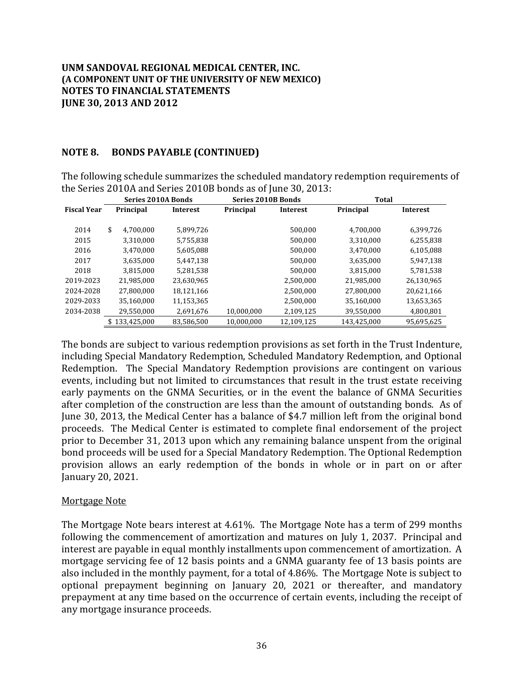### **NOTE 8. BONDS PAYABLE (CONTINUED)**

The following schedule summarizes the scheduled mandatory redemption requirements of the Series 2010A and Series 2010B bonds as of June 30, 2013:

|                    | <b>Series 2010A Bonds</b> |                 |            | <b>Series 2010B Bonds</b> | <b>Total</b> |                 |
|--------------------|---------------------------|-----------------|------------|---------------------------|--------------|-----------------|
| <b>Fiscal Year</b> | Principal                 | <b>Interest</b> | Principal  | <b>Interest</b>           | Principal    | <b>Interest</b> |
|                    |                           |                 |            |                           |              |                 |
| 2014               | \$<br>4.700.000           | 5.899.726       |            | 500.000                   | 4,700,000    | 6,399,726       |
| 2015               | 3,310,000                 | 5,755,838       |            | 500,000                   | 3,310,000    | 6,255,838       |
| 2016               | 3,470,000                 | 5,605,088       |            | 500,000                   | 3,470,000    | 6,105,088       |
| 2017               | 3,635,000                 | 5,447,138       |            | 500.000                   | 3,635,000    | 5,947,138       |
| 2018               | 3,815,000                 | 5,281,538       |            | 500.000                   | 3,815,000    | 5,781,538       |
| 2019-2023          | 21.985.000                | 23,630,965      |            | 2,500,000                 | 21,985,000   | 26,130,965      |
| 2024-2028          | 27,800,000                | 18,121,166      |            | 2,500,000                 | 27,800,000   | 20,621,166      |
| 2029-2033          | 35,160,000                | 11,153,365      |            | 2,500,000                 | 35,160,000   | 13,653,365      |
| 2034-2038          | 29,550,000                | 2,691,676       | 10,000,000 | 2,109,125                 | 39,550,000   | 4,800,801       |
|                    | \$133,425,000             | 83,586,500      | 10.000.000 | 12,109,125                | 143,425,000  | 95,695,625      |

The bonds are subject to various redemption provisions as set forth in the Trust Indenture, including Special Mandatory Redemption, Scheduled Mandatory Redemption, and Optional Redemption. The Special Mandatory Redemption provisions are contingent on various events, including but not limited to circumstances that result in the trust estate receiving early payments on the GNMA Securities, or in the event the balance of GNMA Securities after completion of the construction are less than the amount of outstanding bonds. As of June 30, 2013, the Medical Center has a balance of \$4.7 million left from the original bond proceeds. The Medical Center is estimated to complete final endorsement of the project prior to December 31, 2013 upon which any remaining balance unspent from the original bond proceeds will be used for a Special Mandatory Redemption. The Optional Redemption provision allows an early redemption of the bonds in whole or in part on or after January 20, 2021. 

### Mortgage Note

The Mortgage Note bears interest at 4.61%. The Mortgage Note has a term of 299 months following the commencement of amortization and matures on July 1, 2037. Principal and interest are payable in equal monthly installments upon commencement of amortization. A mortgage servicing fee of 12 basis points and a GNMA guaranty fee of 13 basis points are also included in the monthly payment, for a total of 4.86%. The Mortgage Note is subject to optional prepayment beginning on January 20, 2021 or thereafter, and mandatory prepayment at any time based on the occurrence of certain events, including the receipt of any mortgage insurance proceeds.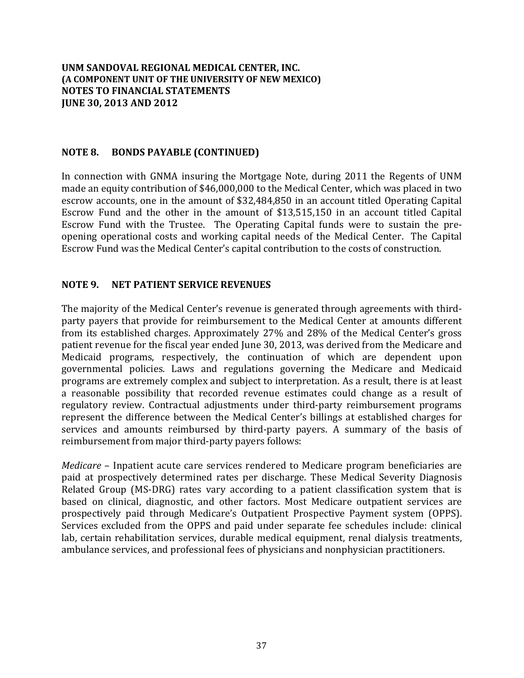### **NOTE 8. BONDS PAYABLE (CONTINUED)**

In connection with GNMA insuring the Mortgage Note, during 2011 the Regents of UNM made an equity contribution of \$46,000,000 to the Medical Center, which was placed in two escrow accounts, one in the amount of \$32,484,850 in an account titled Operating Capital Escrow Fund and the other in the amount of  $$13,515,150$  in an account titled Capital Escrow Fund with the Trustee. The Operating Capital funds were to sustain the preopening operational costs and working capital needs of the Medical Center. The Capital Escrow Fund was the Medical Center's capital contribution to the costs of construction.

### **NOTE 9. NET PATIENT SERVICE REVENUES**

The majority of the Medical Center's revenue is generated through agreements with thirdparty payers that provide for reimbursement to the Medical Center at amounts different from its established charges. Approximately 27% and 28% of the Medical Center's gross patient revenue for the fiscal year ended June 30, 2013, was derived from the Medicare and Medicaid programs, respectively, the continuation of which are dependent upon governmental policies. Laws and regulations governing the Medicare and Medicaid programs are extremely complex and subject to interpretation. As a result, there is at least a reasonable possibility that recorded revenue estimates could change as a result of regulatory review. Contractual adjustments under third-party reimbursement programs represent the difference between the Medical Center's billings at established charges for services and amounts reimbursed by third-party payers. A summary of the basis of reimbursement from major third-party payers follows:

*Medicare* – Inpatient acute care services rendered to Medicare program beneficiaries are paid at prospectively determined rates per discharge. These Medical Severity Diagnosis Related Group (MS-DRG) rates vary according to a patient classification system that is based on clinical, diagnostic, and other factors. Most Medicare outpatient services are prospectively paid through Medicare's Outpatient Prospective Payment system (OPPS). Services excluded from the OPPS and paid under separate fee schedules include: clinical lab, certain rehabilitation services, durable medical equipment, renal dialysis treatments, ambulance services, and professional fees of physicians and nonphysician practitioners.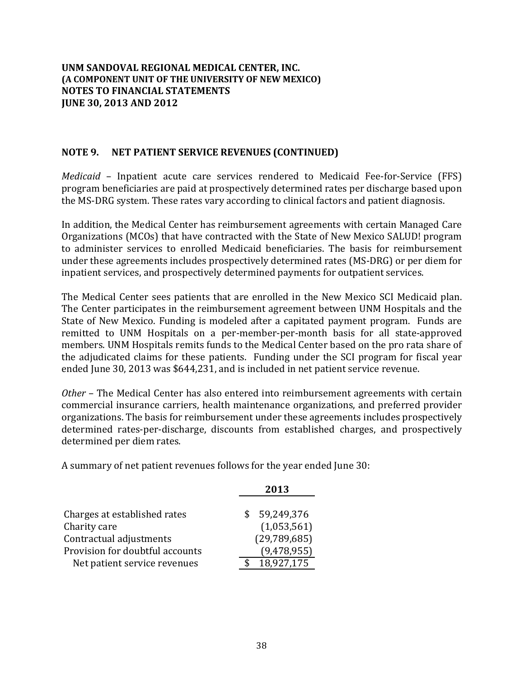### **NOTE 9. NET PATIENT SERVICE REVENUES (CONTINUED)**

*Medicaid* – Inpatient acute care services rendered to Medicaid Fee-for-Service (FFS) program beneficiaries are paid at prospectively determined rates per discharge based upon the MS-DRG system. These rates vary according to clinical factors and patient diagnosis.

In addition, the Medical Center has reimbursement agreements with certain Managed Care Organizations (MCOs) that have contracted with the State of New Mexico SALUD! program to administer services to enrolled Medicaid beneficiaries. The basis for reimbursement under these agreements includes prospectively determined rates (MS-DRG) or per diem for inpatient services, and prospectively determined payments for outpatient services.

The Medical Center sees patients that are enrolled in the New Mexico SCI Medicaid plan. The Center participates in the reimbursement agreement between UNM Hospitals and the State of New Mexico. Funding is modeled after a capitated payment program. Funds are remitted to UNM Hospitals on a per-member-per-month basis for all state-approved members. UNM Hospitals remits funds to the Medical Center based on the pro rata share of the adjudicated claims for these patients. Funding under the SCI program for fiscal year ended June 30, 2013 was \$644,231, and is included in net patient service revenue.

*Other* – The Medical Center has also entered into reimbursement agreements with certain commercial insurance carriers, health maintenance organizations, and preferred provider organizations. The basis for reimbursement under these agreements includes prospectively determined rates-per-discharge, discounts from established charges, and prospectively determined per diem rates.

A summary of net patient revenues follows for the year ended June 30:

|                                 | 2013           |
|---------------------------------|----------------|
|                                 |                |
| Charges at established rates    | \$59,249,376   |
| Charity care                    | (1,053,561)    |
| Contractual adjustments         | (29, 789, 685) |
| Provision for doubtful accounts | (9,478,955)    |
| Net patient service revenues    | 18,927,175     |
|                                 |                |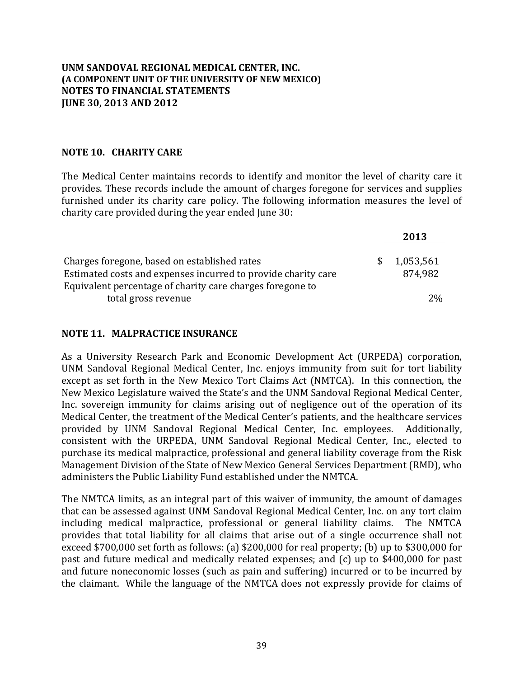### **NOTE 10. CHARITY CARE**

The Medical Center maintains records to identify and monitor the level of charity care it provides. These records include the amount of charges foregone for services and supplies furnished under its charity care policy. The following information measures the level of charity care provided during the year ended June 30:

|                                                               |              | 2013      |
|---------------------------------------------------------------|--------------|-----------|
| Charges foregone, based on established rates                  | <sup>S</sup> | 1,053,561 |
| Estimated costs and expenses incurred to provide charity care |              | 874,982   |
| Equivalent percentage of charity care charges foregone to     |              |           |
| total gross revenue                                           |              | $2\%$     |

### **NOTE 11. MALPRACTICE INSURANCE**

As a University Research Park and Economic Development Act (URPEDA) corporation, UNM Sandoval Regional Medical Center, Inc. enjoys immunity from suit for tort liability except as set forth in the New Mexico Tort Claims Act (NMTCA). In this connection, the New Mexico Legislature waived the State's and the UNM Sandoval Regional Medical Center, Inc. sovereign immunity for claims arising out of negligence out of the operation of its Medical Center, the treatment of the Medical Center's patients, and the healthcare services provided by UNM Sandoval Regional Medical Center, Inc. employees. Additionally, consistent with the URPEDA, UNM Sandoval Regional Medical Center, Inc., elected to purchase its medical malpractice, professional and general liability coverage from the Risk Management Division of the State of New Mexico General Services Department (RMD), who administers the Public Liability Fund established under the NMTCA.

The NMTCA limits, as an integral part of this waiver of immunity, the amount of damages that can be assessed against UNM Sandoval Regional Medical Center, Inc. on any tort claim including medical malpractice, professional or general liability claims. The NMTCA provides that total liability for all claims that arise out of a single occurrence shall not exceed \$700,000 set forth as follows: (a) \$200,000 for real property; (b) up to \$300,000 for past and future medical and medically related expenses; and (c) up to \$400,000 for past and future noneconomic losses (such as pain and suffering) incurred or to be incurred by the claimant. While the language of the NMTCA does not expressly provide for claims of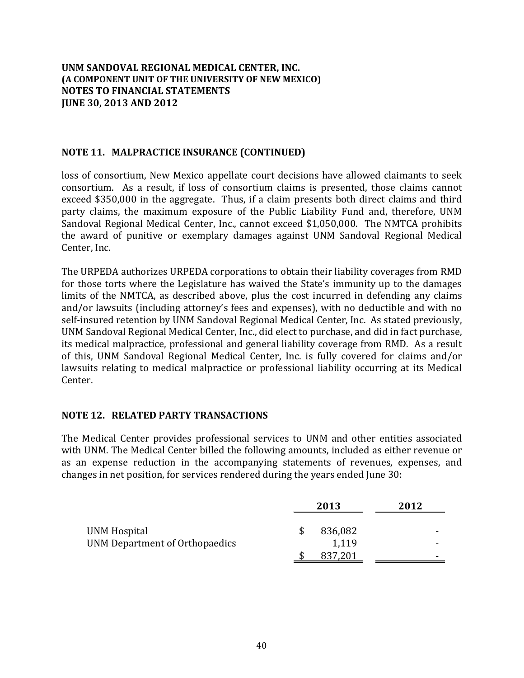### **NOTE 11. MALPRACTICE INSURANCE (CONTINUED)**

loss of consortium, New Mexico appellate court decisions have allowed claimants to seek consortium. As a result, if loss of consortium claims is presented, those claims cannot exceed \$350,000 in the aggregate. Thus, if a claim presents both direct claims and third party claims, the maximum exposure of the Public Liability Fund and, therefore, UNM Sandoval Regional Medical Center, Inc., cannot exceed \$1,050,000. The NMTCA prohibits the award of punitive or exemplary damages against UNM Sandoval Regional Medical Center, Inc.

The URPEDA authorizes URPEDA corporations to obtain their liability coverages from RMD for those torts where the Legislature has waived the State's immunity up to the damages limits of the NMTCA, as described above, plus the cost incurred in defending any claims and/or lawsuits (including attorney's fees and expenses), with no deductible and with no self-insured retention by UNM Sandoval Regional Medical Center, Inc. As stated previously, UNM Sandoval Regional Medical Center, Inc., did elect to purchase, and did in fact purchase, its medical malpractice, professional and general liability coverage from RMD. As a result of this, UNM Sandoval Regional Medical Center, Inc. is fully covered for claims and/or lawsuits relating to medical malpractice or professional liability occurring at its Medical Center. 

### **NOTE 12. RELATED PARTY TRANSACTIONS**

The Medical Center provides professional services to UNM and other entities associated with UNM. The Medical Center billed the following amounts, included as either revenue or as an expense reduction in the accompanying statements of revenues, expenses, and changes in net position, for services rendered during the years ended June 30:

|                                                |   | 2013             | 2012 |        |
|------------------------------------------------|---|------------------|------|--------|
| UNM Hospital<br>UNM Department of Orthopaedics | S | 836,082<br>1,119 |      | -<br>- |
|                                                |   | 837,201          |      | -      |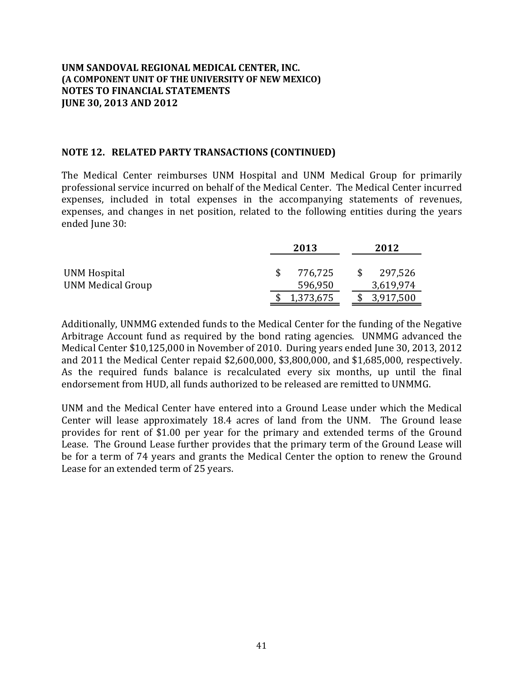#### **NOTE 12. RELATED PARTY TRANSACTIONS (CONTINUED)**

The Medical Center reimburses UNM Hospital and UNM Medical Group for primarily professional service incurred on behalf of the Medical Center. The Medical Center incurred expenses, included in total expenses in the accompanying statements of revenues, expenses, and changes in net position, related to the following entities during the years ended June 30:

|                                          | 2013               |              | 2012                 |
|------------------------------------------|--------------------|--------------|----------------------|
| UNM Hospital<br><b>UNM Medical Group</b> | 776,725<br>596,950 | <sup>S</sup> | 297,526<br>3,619,974 |
|                                          | 1,373,675          |              | 3,917,500            |

Additionally, UNMMG extended funds to the Medical Center for the funding of the Negative Arbitrage Account fund as required by the bond rating agencies. UNMMG advanced the Medical Center \$10,125,000 in November of 2010. During years ended June 30, 2013, 2012 and  $2011$  the Medical Center repaid  $$2,600,000$ ,  $$3,800,000$ , and  $$1,685,000$ , respectively. As the required funds balance is recalculated every six months, up until the final endorsement from HUD, all funds authorized to be released are remitted to UNMMG.

UNM and the Medical Center have entered into a Ground Lease under which the Medical Center will lease approximately 18.4 acres of land from the UNM. The Ground lease provides for rent of \$1.00 per year for the primary and extended terms of the Ground Lease. The Ground Lease further provides that the primary term of the Ground Lease will be for a term of 74 years and grants the Medical Center the option to renew the Ground Lease for an extended term of 25 years.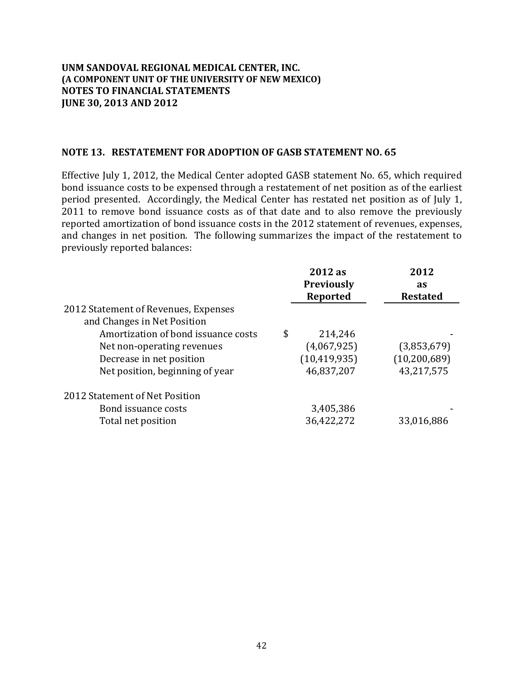#### **NOTE 13. RESTATEMENT FOR ADOPTION OF GASB STATEMENT NO. 65**

Effective July 1, 2012, the Medical Center adopted GASB statement No. 65, which required bond issuance costs to be expensed through a restatement of net position as of the earliest period presented. Accordingly, the Medical Center has restated net position as of July 1, 2011 to remove bond issuance costs as of that date and to also remove the previously reported amortization of bond issuance costs in the 2012 statement of revenues, expenses, and changes in net position. The following summarizes the impact of the restatement to previously reported balances:

|                                      | 2012 as<br><b>Previously</b> | 2012<br>as      |
|--------------------------------------|------------------------------|-----------------|
|                                      | Reported                     | <b>Restated</b> |
| 2012 Statement of Revenues, Expenses |                              |                 |
| and Changes in Net Position          |                              |                 |
| Amortization of bond issuance costs  | \$<br>214,246                |                 |
| Net non-operating revenues           | (4,067,925)                  | (3,853,679)     |
| Decrease in net position             | (10, 419, 935)               | (10, 200, 689)  |
| Net position, beginning of year      | 46,837,207                   | 43,217,575      |
| 2012 Statement of Net Position       |                              |                 |
| Bond issuance costs                  | 3,405,386                    |                 |
| Total net position                   | 36,422,272                   | 33,016,886      |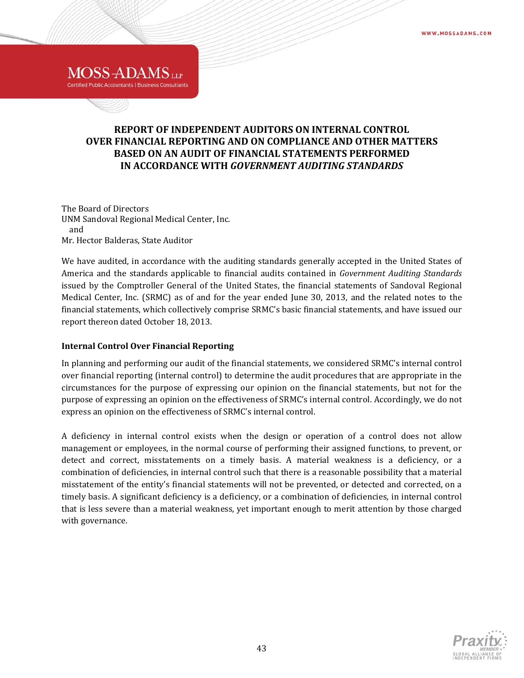# **REPORT OF INDEPENDENT AUDITORS ON INTERNAL CONTROL OVER FINANCIAL REPORTING AND ON COMPLIANCE AND OTHER MATTERS BASED ON AN AUDIT OF FINANCIAL STATEMENTS PERFORMED IN ACCORDANCE WITH** *GOVERNMENT AUDITING STANDARDS*

The Board of Directors UNM Sandoval Regional Medical Center, Inc. and Mr. Hector Balderas, State Auditor

**MOSS-ADAMS**<sub>UP</sub> **Certified Public Accountants | Business Consultants** 

We have audited, in accordance with the auditing standards generally accepted in the United States of America and the standards applicable to financial audits contained in *Government Auditing Standards* issued by the Comptroller General of the United States, the financial statements of Sandoval Regional Medical Center, Inc. (SRMC) as of and for the year ended June 30, 2013, and the related notes to the financial statements, which collectively comprise SRMC's basic financial statements, and have issued our report thereon dated October 18, 2013.

#### **Internal Control Over Financial Reporting**

In planning and performing our audit of the financial statements, we considered SRMC's internal control over financial reporting (internal control) to determine the audit procedures that are appropriate in the circumstances for the purpose of expressing our opinion on the financial statements, but not for the purpose of expressing an opinion on the effectiveness of SRMC's internal control. Accordingly, we do not express an opinion on the effectiveness of SRMC's internal control.

A deficiency in internal control exists when the design or operation of a control does not allow management or employees, in the normal course of performing their assigned functions, to prevent, or detect and correct, misstatements on a timely basis. A material weakness is a deficiency, or a combination of deficiencies, in internal control such that there is a reasonable possibility that a material misstatement of the entity's financial statements will not be prevented, or detected and corrected, on a timely basis. A significant deficiency is a deficiency, or a combination of deficiencies, in internal control that is less severe than a material weakness, yet important enough to merit attention by those charged with governance.

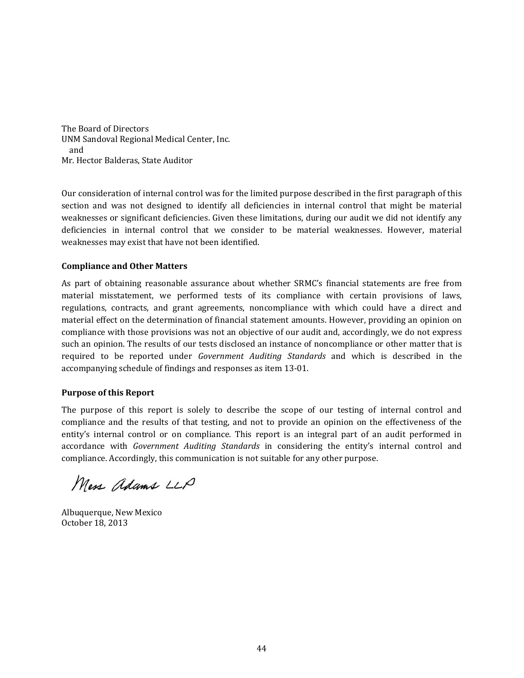The Board of Directors UNM Sandoval Regional Medical Center, Inc. and Mr. Hector Balderas, State Auditor

Our consideration of internal control was for the limited purpose described in the first paragraph of this section and was not designed to identify all deficiencies in internal control that might be material weaknesses or significant deficiencies. Given these limitations, during our audit we did not identify any deficiencies in internal control that we consider to be material weaknesses. However, material weaknesses may exist that have not been identified.

#### **Compliance and Other Matters**

As part of obtaining reasonable assurance about whether SRMC's financial statements are free from material misstatement, we performed tests of its compliance with certain provisions of laws, regulations, contracts, and grant agreements, noncompliance with which could have a direct and material effect on the determination of financial statement amounts. However, providing an opinion on compliance with those provisions was not an objective of our audit and, accordingly, we do not express such an opinion. The results of our tests disclosed an instance of noncompliance or other matter that is required to be reported under *Government Auditing Standards* and which is described in the accompanying schedule of findings and responses as item 13-01.

#### **Purpose of this Report**

The purpose of this report is solely to describe the scope of our testing of internal control and compliance and the results of that testing, and not to provide an opinion on the effectiveness of the entity's internal control or on compliance. This report is an integral part of an audit performed in accordance with *Government Auditing Standards* in considering the entity's internal control and compliance. Accordingly, this communication is not suitable for any other purpose.

Mess adams LLP

Albuquerque, New Mexico October 18, 2013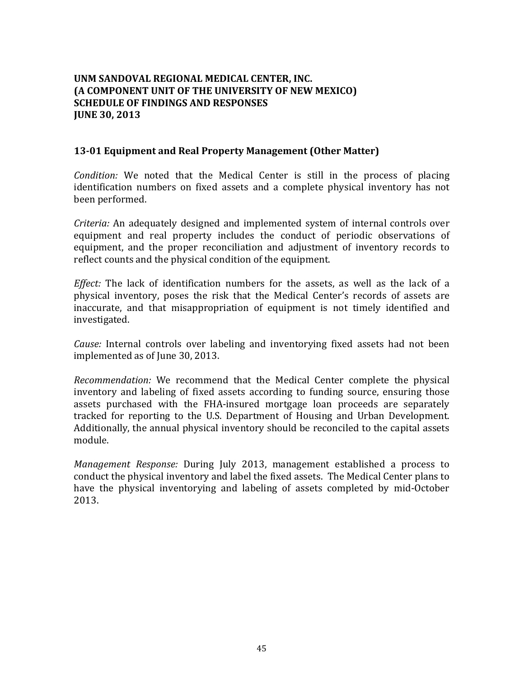# **UNM SANDOVAL REGIONAL MEDICAL CENTER, INC. (A COMPONENT UNIT OF THE UNIVERSITY OF NEW MEXICO) SCHEDULE OF FINDINGS AND RESPONSES JUNE 30, 2013**

### **13‐01 Equipment and Real Property Management (Other Matter)**

*Condition:* We noted that the Medical Center is still in the process of placing identification numbers on fixed assets and a complete physical inventory has not been performed. 

*Criteria:* An adequately designed and implemented system of internal controls over equipment and real property includes the conduct of periodic observations of equipment, and the proper reconciliation and adjustment of inventory records to reflect counts and the physical condition of the equipment.

*Effect:* The lack of identification numbers for the assets, as well as the lack of a physical inventory, poses the risk that the Medical Center's records of assets are inaccurate, and that misappropriation of equipment is not timely identified and investigated. 

*Cause:* Internal controls over labeling and inventorying fixed assets had not been implemented as of June 30, 2013.

*Recommendation:* We recommend that the Medical Center complete the physical inventory and labeling of fixed assets according to funding source, ensuring those assets purchased with the FHA-insured mortgage loan proceeds are separately tracked for reporting to the U.S. Department of Housing and Urban Development. Additionally, the annual physical inventory should be reconciled to the capital assets module. 

*Management Response:* During July 2013, management established a process to conduct the physical inventory and label the fixed assets. The Medical Center plans to have the physical inventorying and labeling of assets completed by mid-October 2013.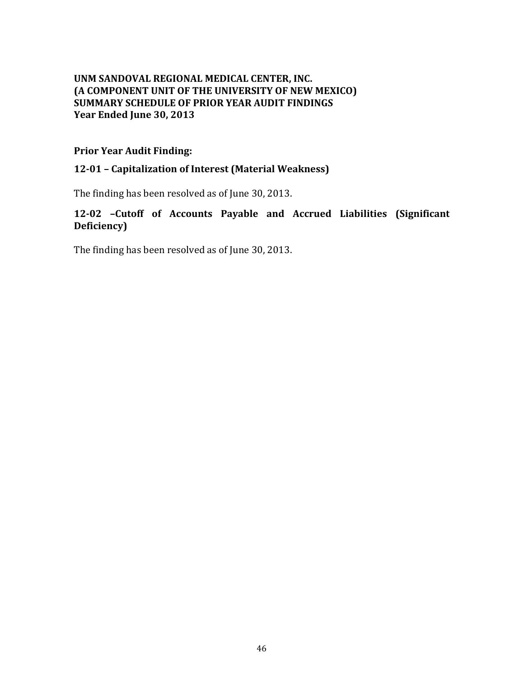# **UNM SANDOVAL REGIONAL MEDICAL CENTER, INC. (A COMPONENT UNIT OF THE UNIVERSITY OF NEW MEXICO) SUMMARY SCHEDULE OF PRIOR YEAR AUDIT FINDINGS Year Ended June 30, 2013**

### **Prior Year Audit Finding:**

### **12‐01 – Capitalization of Interest (Material Weakness)**

The finding has been resolved as of June 30, 2013.

# **12‐02 –Cutoff of Accounts Payable and Accrued Liabilities (Significant** Deficiency)

The finding has been resolved as of June 30, 2013.